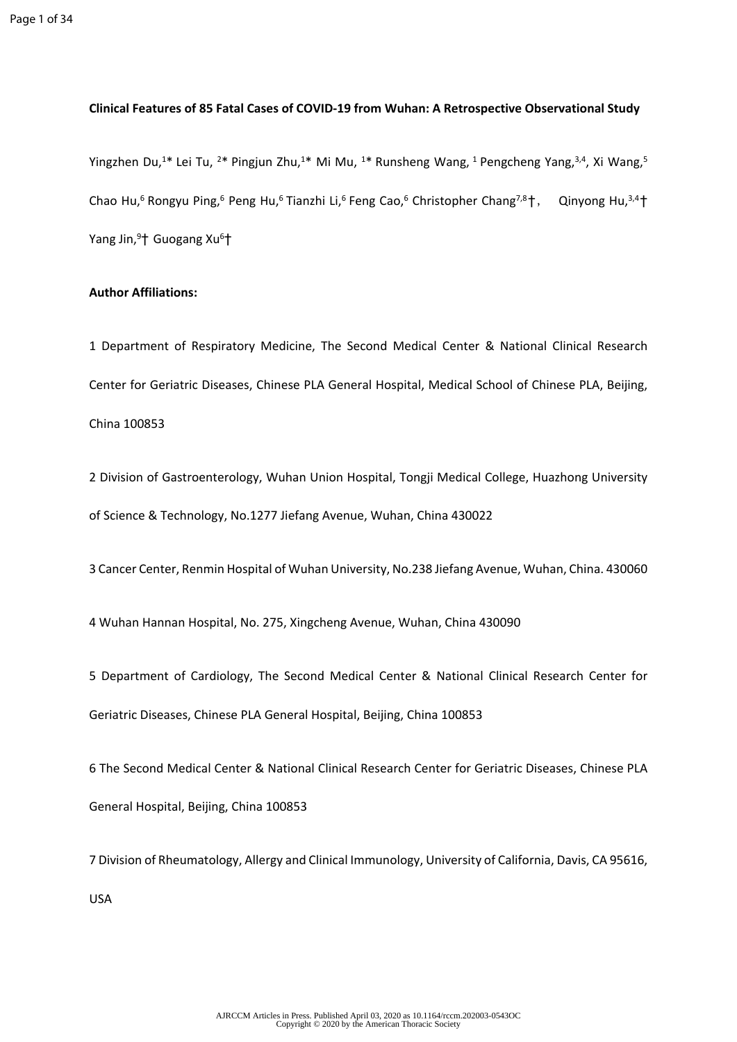## **Clinical Features of 85 Fatal Cases of COVID-19 from Wuhan: A Retrospective Observational Study**

Yingzhen Du,<sup>1\*</sup> Lei Tu, <sup>2\*</sup> Pingjun Zhu,<sup>1\*</sup> Mi Mu, <sup>1\*</sup> Runsheng Wang, <sup>1</sup> Pengcheng Yang,<sup>3,4</sup>, Xi Wang,<sup>5</sup> Chao Hu,<sup>6</sup> Rongyu Ping,<sup>6</sup> Peng Hu,<sup>6</sup> Tianzhi Li,<sup>6</sup> Feng Cao,<sup>6</sup> Christopher Chang<sup>7,8</sup>†, Qinyong Hu,<sup>3,4</sup>† Yang Jin,<sup>9</sup>† Guogang Xu<sup>6</sup>†

## **Author Affiliations:**

1 Department of Respiratory Medicine, The Second Medical Center & National Clinical Research Center for Geriatric Diseases, Chinese PLA General Hospital, Medical School of Chinese PLA, Beijing, China 100853

2 Division of Gastroenterology, Wuhan Union Hospital, Tongji Medical College, Huazhong University of Science & Technology, No.1277 Jiefang Avenue, Wuhan, China 430022

3 Cancer Center, Renmin Hospital of Wuhan University, No.238 Jiefang Avenue, Wuhan, China. 430060

4 Wuhan Hannan Hospital, No. 275, Xingcheng Avenue, Wuhan, China 430090

5 Department of Cardiology, The Second Medical Center & National Clinical Research Center for Geriatric Diseases, Chinese PLA General Hospital, Beijing, China 100853

6 The Second Medical Center & National Clinical Research Center for Geriatric Diseases, Chinese PLA General Hospital, Beijing, China 100853

7 Division of Rheumatology, Allergy and Clinical Immunology, University of California, Davis, CA 95616, USA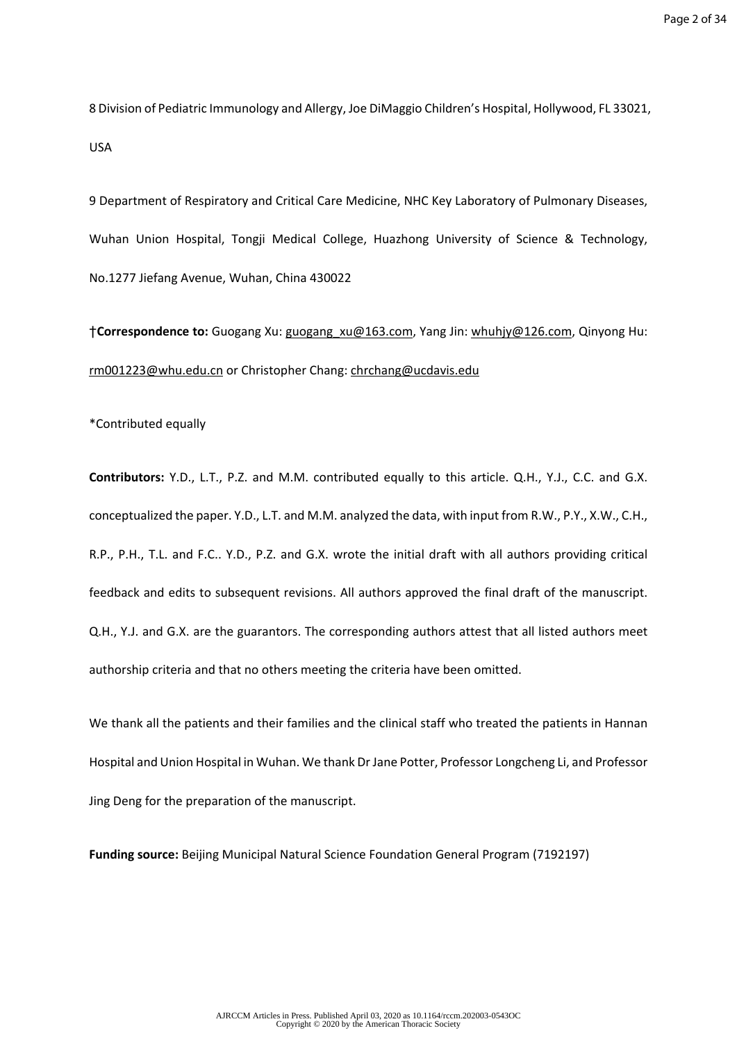8 Division of Pediatric Immunology and Allergy, Joe DiMaggio Children's Hospital, Hollywood, FL 33021, USA

9 Department of Respiratory and Critical Care Medicine, NHC Key Laboratory of Pulmonary Diseases, Wuhan Union Hospital, Tongji Medical College, Huazhong University of Science & Technology, No.1277 Jiefang Avenue, Wuhan, China 430022

†**Correspondence to:** Guogang Xu: [guogang\\_xu@163.com,](mailto:guogang_xu@163.com) Yang Jin: [whuhjy@126.com](mailto:whuhjy@126.com), Qinyong Hu: [rm001223@whu.edu.cn](mailto:rm001223@whu.edu.cn) or Christopher Chang: [chrchang@ucdavis.edu](mailto:chrchang@ucdavis.edu)

\*Contributed equally

**Contributors:** Y.D., L.T., P.Z. and M.M. contributed equally to this article. Q.H., Y.J., C.C. and G.X. conceptualized the paper. Y.D., L.T. and M.M. analyzed the data, with input from R.W., P.Y., X.W., C.H., R.P., P.H., T.L. and F.C.. Y.D., P.Z. and G.X. wrote the initial draft with all authors providing critical feedback and edits to subsequent revisions. All authors approved the final draft of the manuscript. Q.H., Y.J. and G.X. are the guarantors. The corresponding authors attest that all listed authors meet authorship criteria and that no others meeting the criteria have been omitted.

We thank all the patients and their families and the clinical staff who treated the patients in Hannan Hospital and Union Hospital in Wuhan. We thank Dr Jane Potter, Professor Longcheng Li, and Professor Jing Deng for the preparation of the manuscript.

**Funding source:** Beijing Municipal Natural Science Foundation General Program (7192197)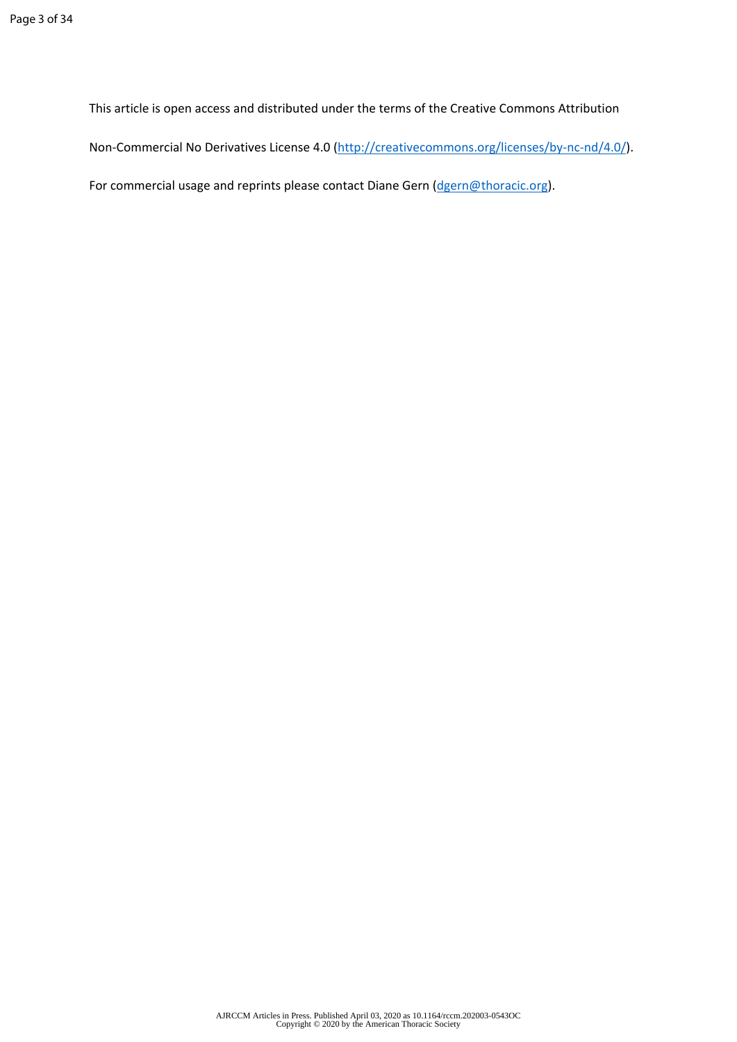This article is open access and distributed under the terms of the Creative Commons Attribution

Non-Commercial No Derivatives License 4.0 ([http://creativecommons.org/licenses/by-nc-nd/4.0/\)](http://creativecommons.org/licenses/by-nc-nd/4.0/).

For commercial usage and reprints please contact Diane Gern ([dgern@thoracic.org\)](mailto:dgern@thoracic.org).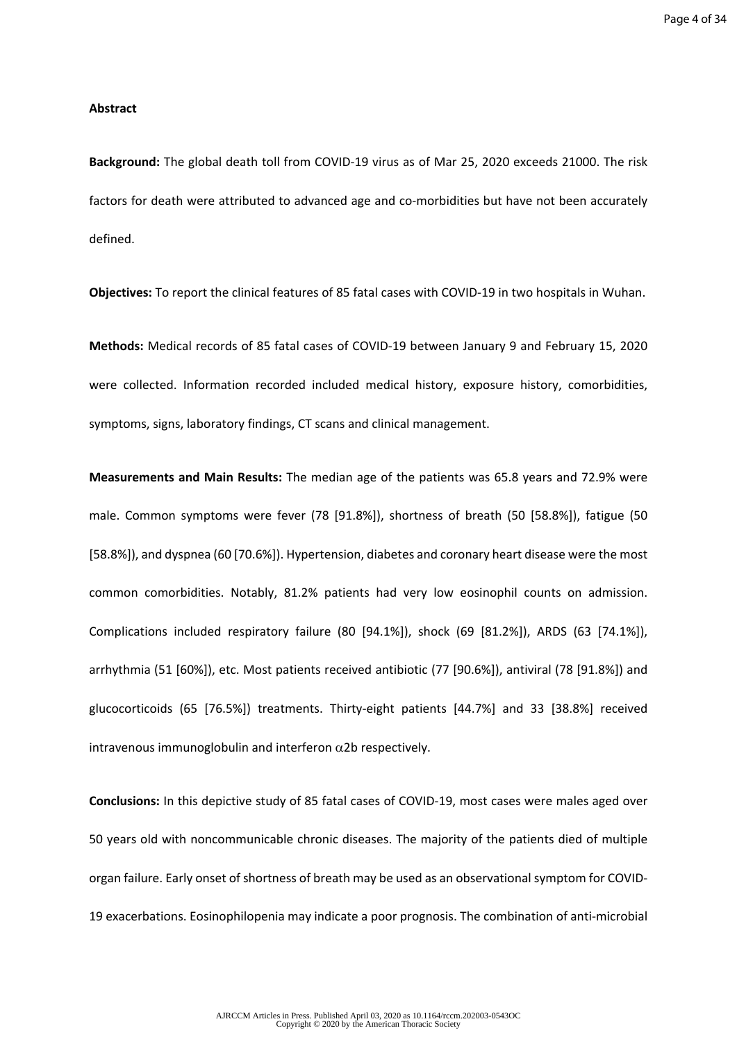### **Abstract**

**Background:** The global death toll from COVID-19 virus as of Mar 25, 2020 exceeds 21000. The risk factors for death were attributed to advanced age and co-morbidities but have not been accurately defined.

**Objectives:** To report the clinical features of 85 fatal cases with COVID-19 in two hospitals in Wuhan.

**Methods:** Medical records of 85 fatal cases of COVID-19 between January 9 and February 15, 2020 were collected. Information recorded included medical history, exposure history, comorbidities, symptoms, signs, laboratory findings, CT scans and clinical management.

**Measurements and Main Results:** The median age of the patients was 65.8 years and 72.9% were male. Common symptoms were fever (78 [91.8%]), shortness of breath (50 [58.8%]), fatigue (50 [58.8%]), and dyspnea (60 [70.6%]). Hypertension, diabetes and coronary heart disease were the most common comorbidities. Notably, 81.2% patients had very low eosinophil counts on admission. Complications included respiratory failure (80 [94.1%]), shock (69 [81.2%]), ARDS (63 [74.1%]), arrhythmia (51 [60%]), etc. Most patients received antibiotic (77 [90.6%]), antiviral (78 [91.8%]) and glucocorticoids (65 [76.5%]) treatments. Thirty-eight patients [44.7%] and 33 [38.8%] received intravenous immunoglobulin and interferon  $\alpha$ 2b respectively.

**Conclusions:** In this depictive study of 85 fatal cases of COVID-19, most cases were males aged over 50 years old with noncommunicable chronic diseases. The majority of the patients died of multiple organ failure. Early onset of shortness of breath may be used as an observational symptom for COVID-19 exacerbations. Eosinophilopenia may indicate a poor prognosis. The combination of anti-microbial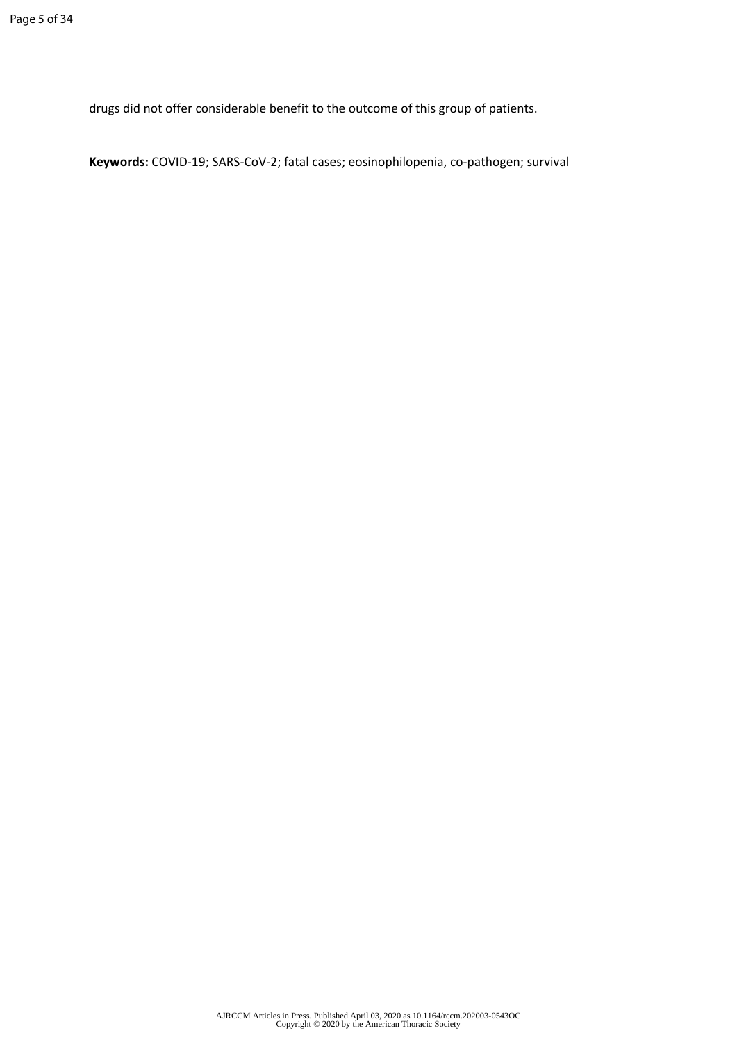drugs did not offer considerable benefit to the outcome of this group of patients.

**Keywords:** COVID-19; SARS-CoV-2; fatal cases; eosinophilopenia, co-pathogen; survival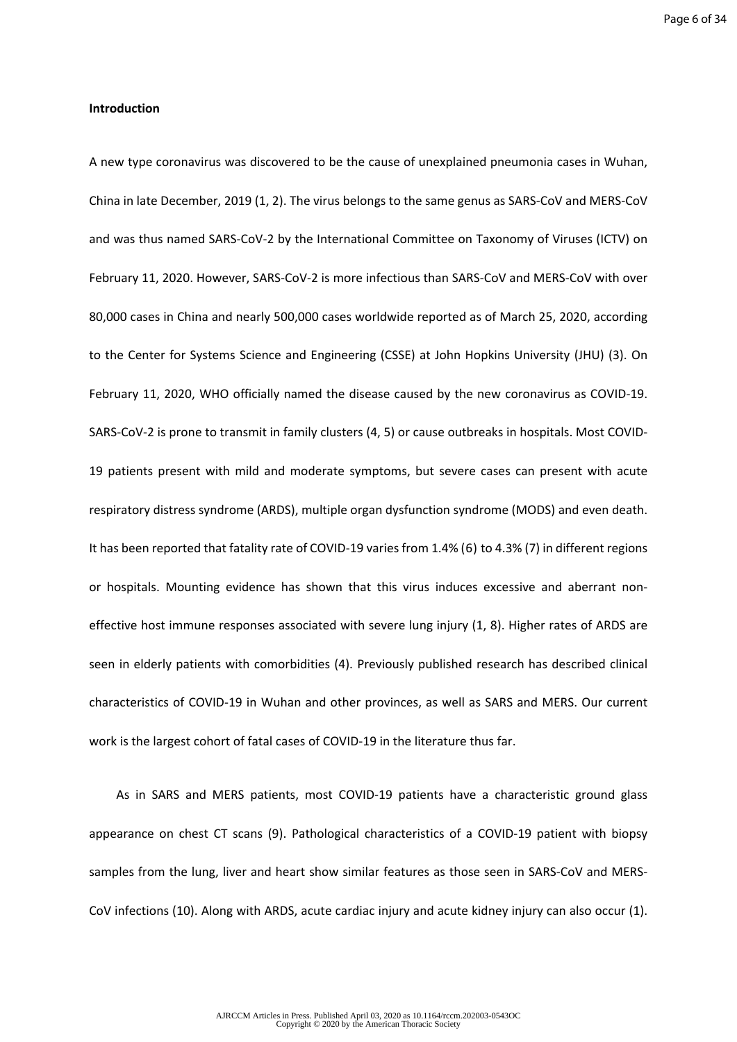## **Introduction**

A new type coronavirus was discovered to be the cause of unexplained pneumonia cases in Wuhan, China in late December, 2019 (1, 2). The virus belongs to the same genus as SARS-CoV and MERS-CoV and was thus named SARS-CoV-2 by the International Committee on Taxonomy of Viruses (ICTV) on February 11, 2020. However, SARS-CoV-2 is more infectious than SARS-CoV and MERS-CoV with over 80,000 cases in China and nearly 500,000 cases worldwide reported as of March 25, 2020, according to the Center for Systems Science and Engineering (CSSE) at John Hopkins University (JHU) (3). On February 11, 2020, WHO officially named the disease caused by the new coronavirus as COVID-19. SARS-CoV-2 is prone to transmit in family clusters (4, 5) or cause outbreaks in hospitals. Most COVID-19 patients present with mild and moderate symptoms, but severe cases can present with acute respiratory distress syndrome (ARDS), multiple organ dysfunction syndrome (MODS) and even death. It has been reported that fatality rate of COVID-19 varies from 1.4% (6) to 4.3% (7) in different regions or hospitals. Mounting evidence has shown that this virus induces excessive and aberrant noneffective host immune responses associated with severe lung injury (1, 8). Higher rates of ARDS are seen in elderly patients with comorbidities (4). Previously published research has described clinical characteristics of COVID-19 in Wuhan and other provinces, as well as SARS and MERS. Our current work is the largest cohort of fatal cases of COVID-19 in the literature thus far.

As in SARS and MERS patients, most COVID-19 patients have a characteristic ground glass appearance on chest CT scans (9). Pathological characteristics of a COVID-19 patient with biopsy samples from the lung, liver and heart show similar features as those seen in SARS-CoV and MERS-CoV infections (10). Along with ARDS, acute cardiac injury and acute kidney injury can also occur (1).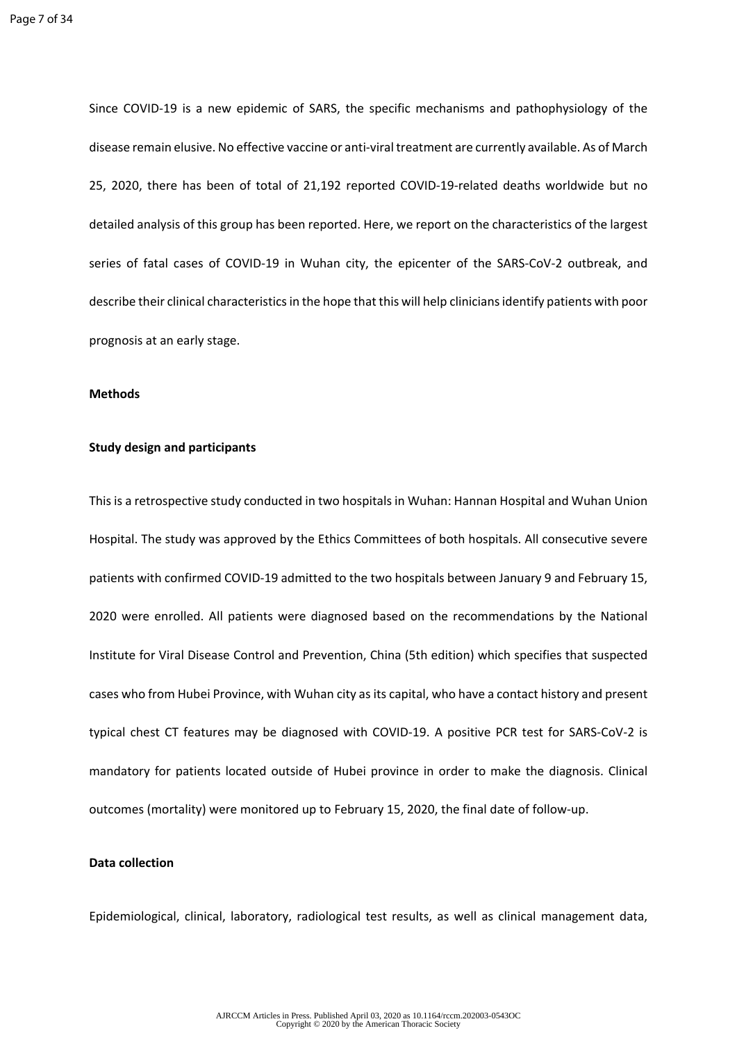Since COVID-19 is a new epidemic of SARS, the specific mechanisms and pathophysiology of the disease remain elusive. No effective vaccine or anti-viral treatment are currently available. As of March 25, 2020, there has been of total of 21,192 reported COVID-19-related deaths worldwide but no detailed analysis of this group has been reported. Here, we report on the characteristics of the largest series of fatal cases of COVID-19 in Wuhan city, the epicenter of the SARS-CoV-2 outbreak, and describe their clinical characteristics in the hope that this will help clinicians identify patients with poor prognosis at an early stage.

#### **Methods**

#### **Study design and participants**

This is a retrospective study conducted in two hospitals in Wuhan: Hannan Hospital and Wuhan Union Hospital. The study was approved by the Ethics Committees of both hospitals. All consecutive severe patients with confirmed COVID-19 admitted to the two hospitals between January 9 and February 15, 2020 were enrolled. All patients were diagnosed based on the recommendations by the National Institute for Viral Disease Control and Prevention, China (5th edition) which specifies that suspected cases who from Hubei Province, with Wuhan city as its capital, who have a contact history and present typical chest CT features may be diagnosed with COVID-19. A positive PCR test for SARS-CoV-2 is mandatory for patients located outside of Hubei province in order to make the diagnosis. Clinical outcomes (mortality) were monitored up to February 15, 2020, the final date of follow-up.

## **Data collection**

Epidemiological, clinical, laboratory, radiological test results, as well as clinical management data,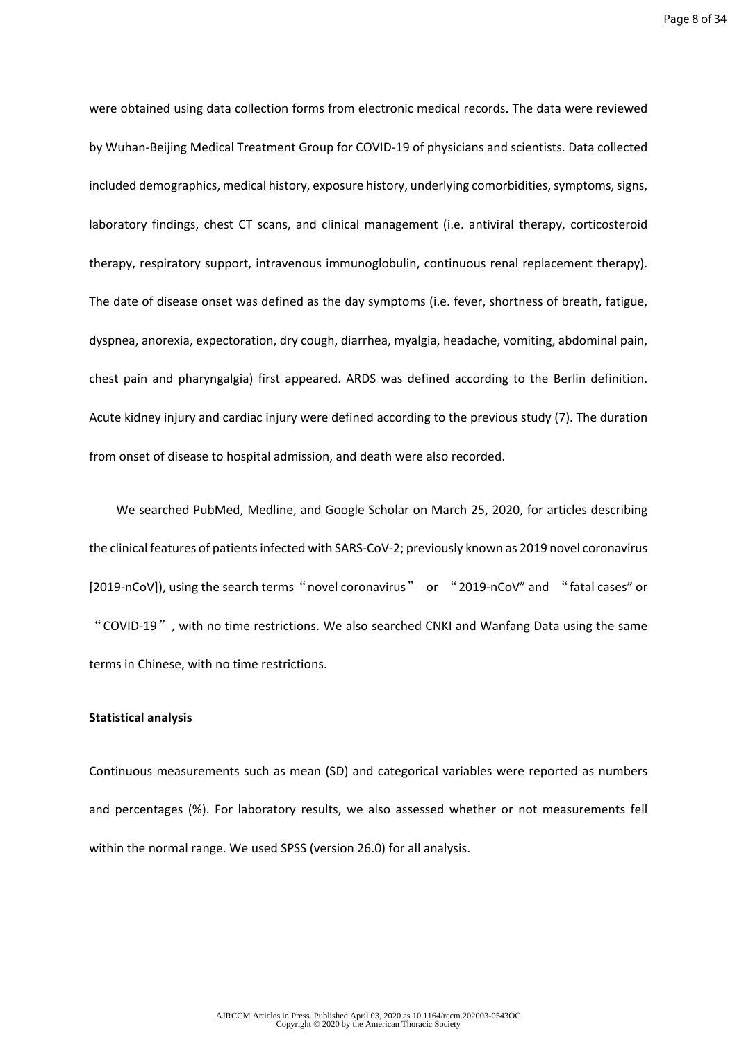were obtained using data collection forms from electronic medical records. The data were reviewed by Wuhan-Beijing Medical Treatment Group for COVID-19 of physicians and scientists. Data collected included demographics, medical history, exposure history, underlying comorbidities, symptoms, signs, laboratory findings, chest CT scans, and clinical management (i.e. antiviral therapy, corticosteroid therapy, respiratory support, intravenous immunoglobulin, continuous renal replacement therapy). The date of disease onset was defined as the day symptoms (i.e. fever, shortness of breath, fatigue, dyspnea, anorexia, expectoration, dry cough, diarrhea, myalgia, headache, vomiting, abdominal pain, chest pain and pharyngalgia) first appeared. ARDS was defined according to the Berlin definition. Acute kidney injury and cardiac injury were defined according to the previous study (7). The duration from onset of disease to hospital admission, and death were also recorded.

We searched PubMed, Medline, and Google Scholar on March 25, 2020, for articles describing the clinical features of patients infected with SARS-CoV-2; previously known as 2019 novel coronavirus [2019-nCoV]), using the search terms "novel coronavirus" or "2019-nCoV" and "fatal cases" or "COVID-19", with no time restrictions. We also searched CNKI and Wanfang Data using the same terms in Chinese, with no time restrictions.

#### **Statistical analysis**

Continuous measurements such as mean (SD) and categorical variables were reported as numbers and percentages (%). For laboratory results, we also assessed whether or not measurements fell within the normal range. We used SPSS (version 26.0) for all analysis.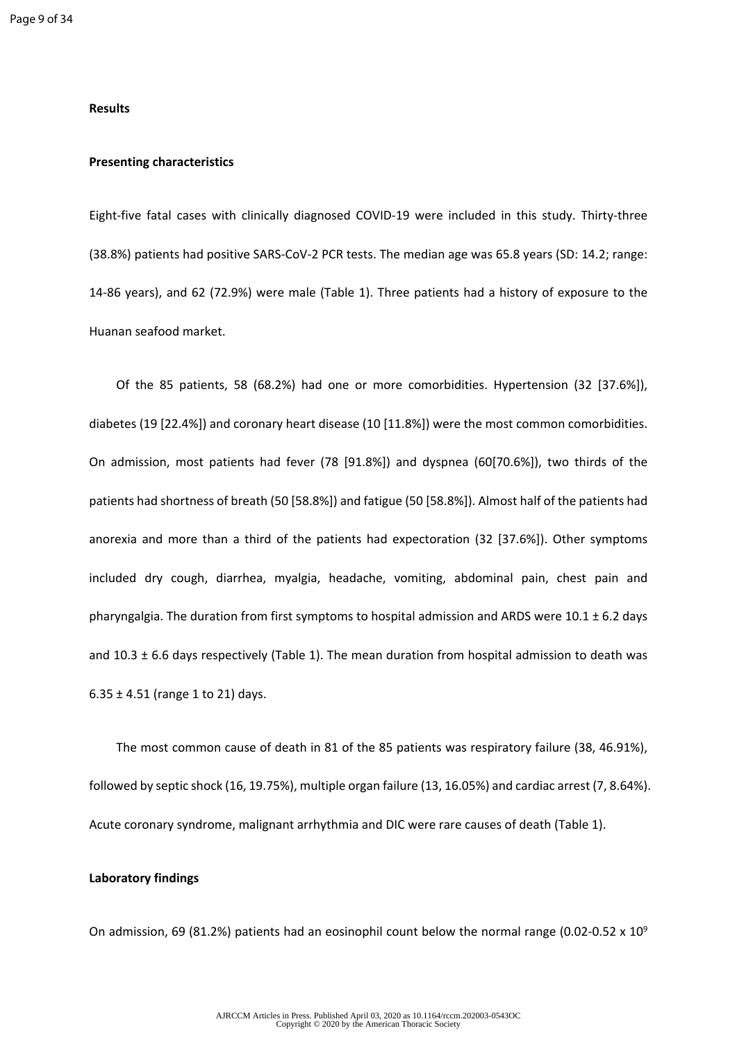#### **Results**

#### **Presenting characteristics**

Eight-five fatal cases with clinically diagnosed COVID-19 were included in this study. Thirty-three (38.8%) patients had positive SARS-CoV-2 PCR tests. The median age was 65.8 years (SD: 14.2; range: 14-86 years), and 62 (72.9%) were male (Table 1). Three patients had a history of exposure to the Huanan seafood market.

Of the 85 patients, 58 (68.2%) had one or more comorbidities. Hypertension (32 [37.6%]), diabetes (19 [22.4%]) and coronary heart disease (10 [11.8%]) were the most common comorbidities. On admission, most patients had fever (78 [91.8%]) and dyspnea (60[70.6%]), two thirds of the patients had shortness of breath (50 [58.8%]) and fatigue (50 [58.8%]). Almost half of the patients had anorexia and more than a third of the patients had expectoration (32 [37.6%]). Other symptoms included dry cough, diarrhea, myalgia, headache, vomiting, abdominal pain, chest pain and pharyngalgia. The duration from first symptoms to hospital admission and ARDS were  $10.1 \pm 6.2$  days and  $10.3 \pm 6.6$  days respectively (Table 1). The mean duration from hospital admission to death was 6.35  $\pm$  4.51 (range 1 to 21) days.

The most common cause of death in 81 of the 85 patients was respiratory failure (38, 46.91%), followed by septic shock (16, 19.75%), multiple organ failure (13, 16.05%) and cardiac arrest (7, 8.64%). Acute coronary syndrome, malignant arrhythmia and DIC were rare causes of death (Table 1).

#### **Laboratory findings**

On admission, 69 (81.2%) patients had an eosinophil count below the normal range (0.02-0.52  $\times$  10<sup>9</sup>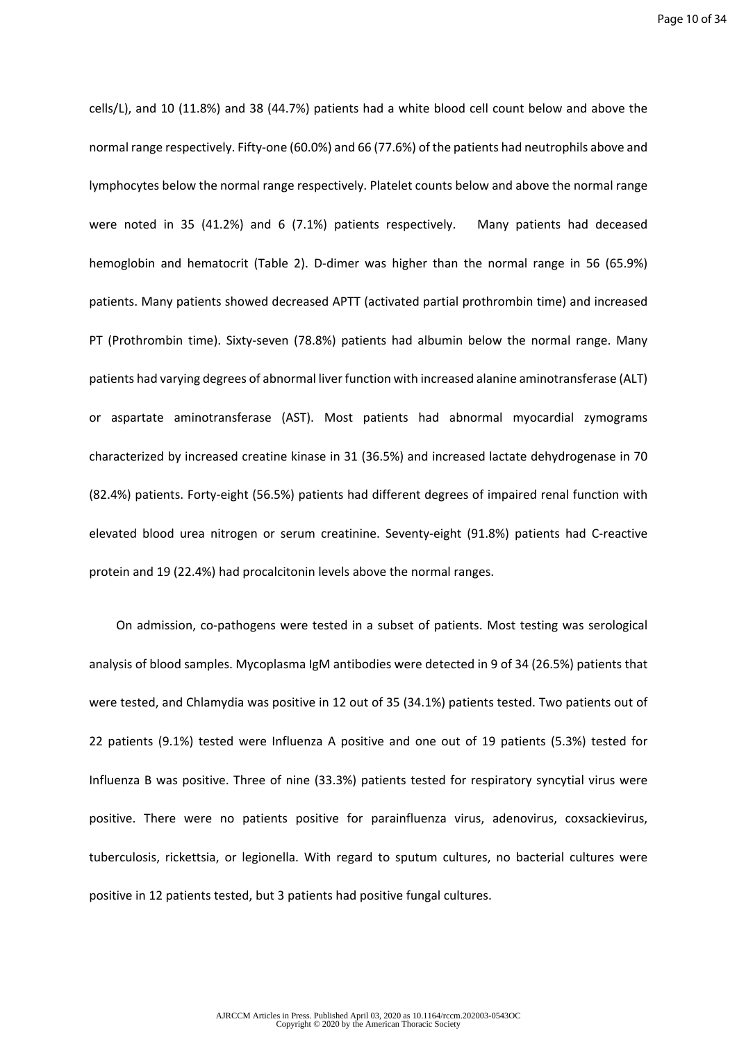cells/L), and 10 (11.8%) and 38 (44.7%) patients had a white blood cell count below and above the normal range respectively. Fifty-one (60.0%) and 66 (77.6%) of the patients had neutrophils above and lymphocytes below the normal range respectively. Platelet counts below and above the normal range were noted in 35 (41.2%) and 6 (7.1%) patients respectively. Many patients had deceased hemoglobin and hematocrit (Table 2). D-dimer was higher than the normal range in 56 (65.9%) patients. Many patients showed decreased APTT (activated partial prothrombin time) and increased PT (Prothrombin time). Sixty-seven (78.8%) patients had albumin below the normal range. Many patients had varying degrees of abnormal liver function with increased alanine aminotransferase (ALT) or aspartate aminotransferase (AST). Most patients had abnormal myocardial zymograms characterized by increased creatine kinase in 31 (36.5%) and increased lactate dehydrogenase in 70 (82.4%) patients. Forty-eight (56.5%) patients had different degrees of impaired renal function with elevated blood urea nitrogen or serum creatinine. Seventy-eight (91.8%) patients had C-reactive protein and 19 (22.4%) had procalcitonin levels above the normal ranges.

On admission, co-pathogens were tested in a subset of patients. Most testing was serological analysis of blood samples. Mycoplasma IgM antibodies were detected in 9 of 34 (26.5%) patients that were tested, and Chlamydia was positive in 12 out of 35 (34.1%) patients tested. Two patients out of 22 patients (9.1%) tested were Influenza A positive and one out of 19 patients (5.3%) tested for Influenza B was positive. Three of nine (33.3%) patients tested for respiratory syncytial virus were positive. There were no patients positive for parainfluenza virus, adenovirus, coxsackievirus, tuberculosis, rickettsia, or legionella. With regard to sputum cultures, no bacterial cultures were positive in 12 patients tested, but 3 patients had positive fungal cultures.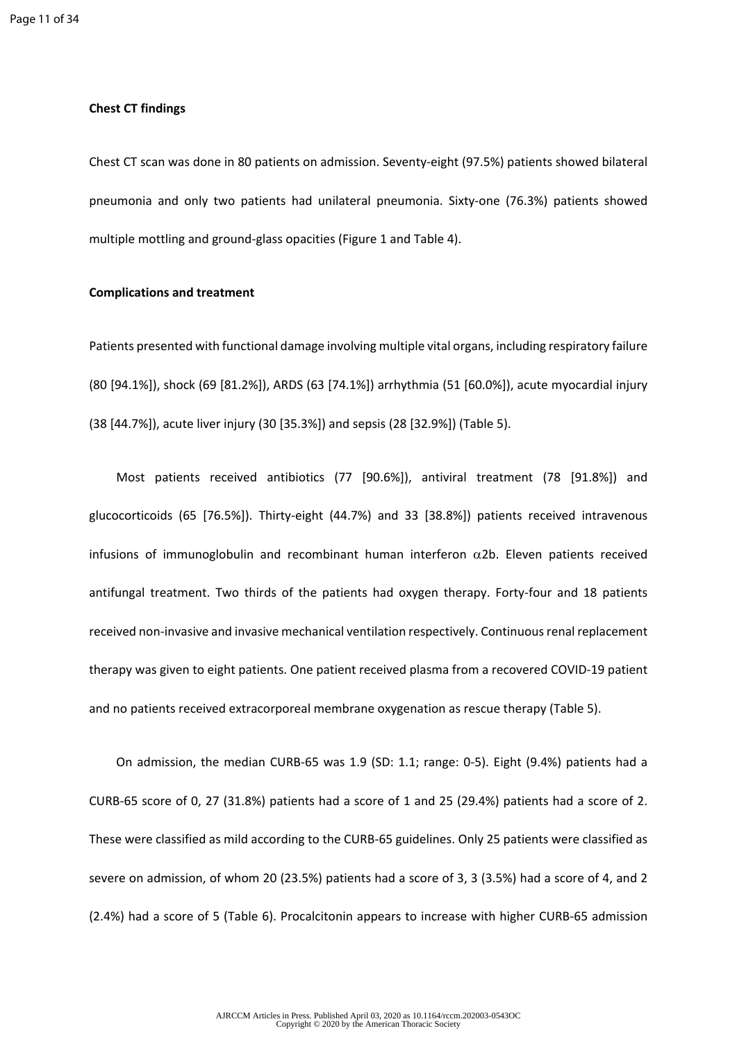#### **Chest CT findings**

Chest CT scan was done in 80 patients on admission. Seventy-eight (97.5%) patients showed bilateral pneumonia and only two patients had unilateral pneumonia. Sixty-one (76.3%) patients showed multiple mottling and ground-glass opacities (Figure 1 and Table 4).

## **Complications and treatment**

Patients presented with functional damage involving multiple vital organs, including respiratory failure (80 [94.1%]), shock (69 [81.2%]), ARDS (63 [74.1%]) arrhythmia (51 [60.0%]), acute myocardial injury (38 [44.7%]), acute liver injury (30 [35.3%]) and sepsis (28 [32.9%]) (Table 5).

Most patients received antibiotics (77 [90.6%]), antiviral treatment (78 [91.8%]) and glucocorticoids (65 [76.5%]). Thirty-eight (44.7%) and 33 [38.8%]) patients received intravenous infusions of immunoglobulin and recombinant human interferon  $\alpha$ 2b. Eleven patients received antifungal treatment. Two thirds of the patients had oxygen therapy. Forty-four and 18 patients received non-invasive and invasive mechanical ventilation respectively. Continuous renal replacement therapy was given to eight patients. One patient received plasma from a recovered COVID-19 patient and no patients received extracorporeal membrane oxygenation as rescue therapy (Table 5).

On admission, the median CURB-65 was 1.9 (SD: 1.1; range: 0-5). Eight (9.4%) patients had a CURB-65 score of 0, 27 (31.8%) patients had a score of 1 and 25 (29.4%) patients had a score of 2. These were classified as mild according to the CURB-65 guidelines. Only 25 patients were classified as severe on admission, of whom 20 (23.5%) patients had a score of 3, 3 (3.5%) had a score of 4, and 2 (2.4%) had a score of 5 (Table 6). Procalcitonin appears to increase with higher CURB-65 admission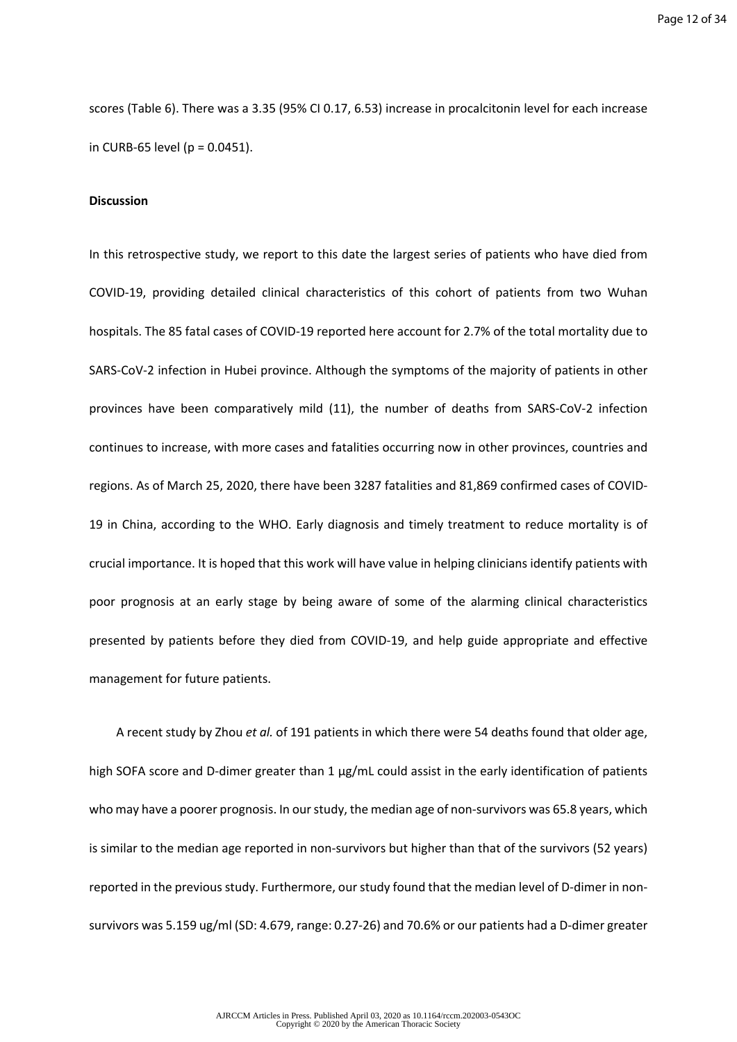Page 12 of 34

scores (Table 6). There was a 3.35 (95% CI 0.17, 6.53) increase in procalcitonin level for each increase in CURB-65 level ( $p = 0.0451$ ).

#### **Discussion**

In this retrospective study, we report to this date the largest series of patients who have died from COVID-19, providing detailed clinical characteristics of this cohort of patients from two Wuhan hospitals. The 85 fatal cases of COVID-19 reported here account for 2.7% of the total mortality due to SARS-CoV-2 infection in Hubei province. Although the symptoms of the majority of patients in other provinces have been comparatively mild (11), the number of deaths from SARS-CoV-2 infection continues to increase, with more cases and fatalities occurring now in other provinces, countries and regions. As of March 25, 2020, there have been 3287 fatalities and 81,869 confirmed cases of COVID-19 in China, according to the WHO. Early diagnosis and timely treatment to reduce mortality is of crucial importance. It is hoped that this work will have value in helping clinicians identify patients with poor prognosis at an early stage by being aware of some of the alarming clinical characteristics presented by patients before they died from COVID-19, and help guide appropriate and effective management for future patients.

 A recent study by Zhou *et al.* of 191 patients in which there were 54 deaths found that older age, high SOFA score and D-dimer greater than 1 µg/mL could assist in the early identification of patients who may have a poorer prognosis. In our study, the median age of non-survivors was 65.8 years, which is similar to the median age reported in non-survivors but higher than that of the survivors (52 years) reported in the previous study. Furthermore, our study found that the median level of D-dimer in nonsurvivors was 5.159 ug/ml (SD: 4.679, range: 0.27-26) and 70.6% or our patients had a D-dimer greater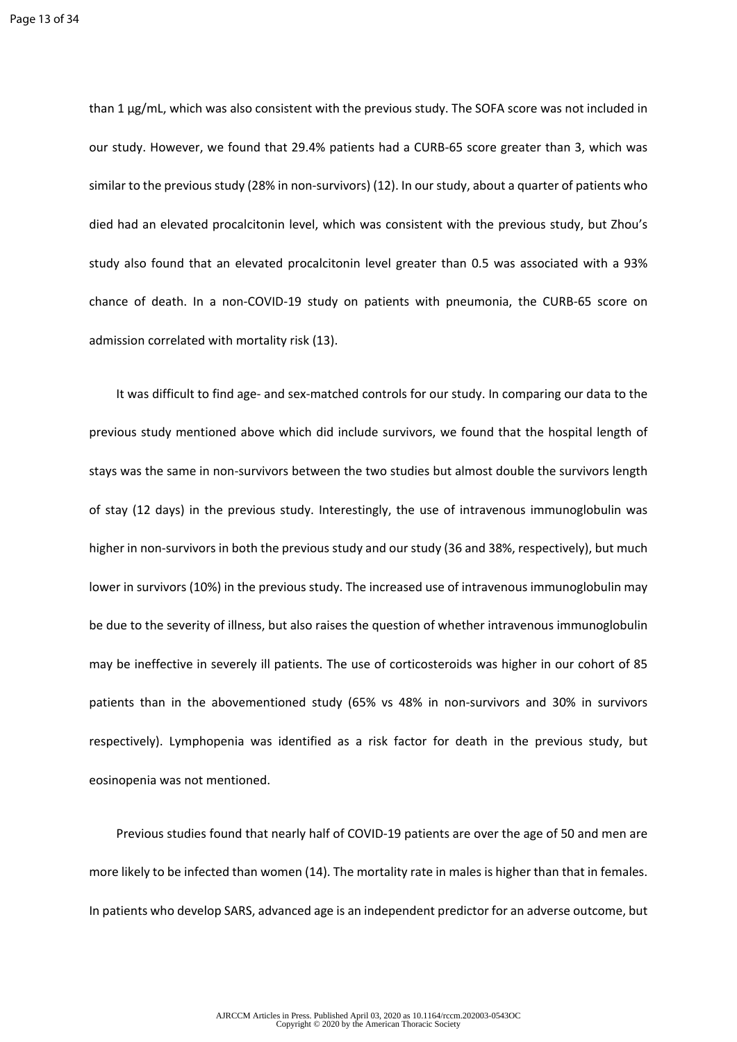than 1 µg/mL, which was also consistent with the previous study. The SOFA score was not included in our study. However, we found that 29.4% patients had a CURB-65 score greater than 3, which was similar to the previous study (28% in non-survivors) (12). In our study, about a quarter of patients who died had an elevated procalcitonin level, which was consistent with the previous study, but Zhou's study also found that an elevated procalcitonin level greater than 0.5 was associated with a 93% chance of death. In a non-COVID-19 study on patients with pneumonia, the CURB-65 score on admission correlated with mortality risk (13).

It was difficult to find age- and sex-matched controls for our study. In comparing our data to the previous study mentioned above which did include survivors, we found that the hospital length of stays was the same in non-survivors between the two studies but almost double the survivors length of stay (12 days) in the previous study. Interestingly, the use of intravenous immunoglobulin was higher in non-survivors in both the previous study and our study (36 and 38%, respectively), but much lower in survivors (10%) in the previous study. The increased use of intravenous immunoglobulin may be due to the severity of illness, but also raises the question of whether intravenous immunoglobulin may be ineffective in severely ill patients. The use of corticosteroids was higher in our cohort of 85 patients than in the abovementioned study (65% vs 48% in non-survivors and 30% in survivors respectively). Lymphopenia was identified as a risk factor for death in the previous study, but eosinopenia was not mentioned.

Previous studies found that nearly half of COVID-19 patients are over the age of 50 and men are more likely to be infected than women (14). The mortality rate in males is higher than that in females. In patients who develop SARS, advanced age is an independent predictor for an adverse outcome, but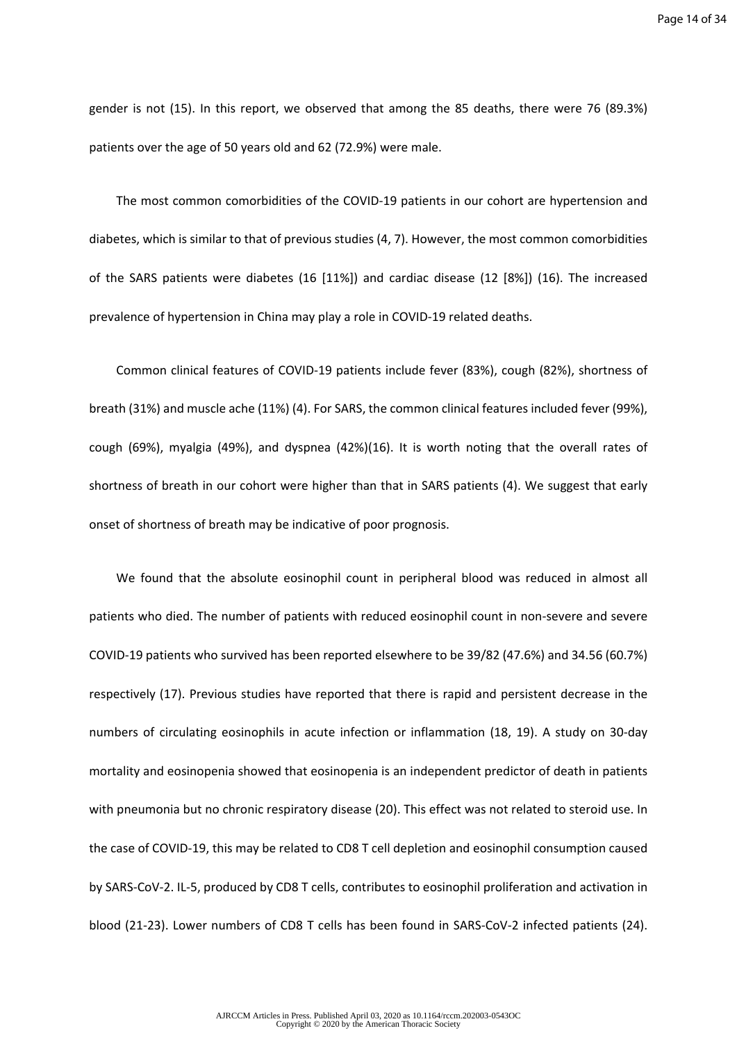gender is not (15). In this report, we observed that among the 85 deaths, there were 76 (89.3%) patients over the age of 50 years old and 62 (72.9%) were male.

The most common comorbidities of the COVID-19 patients in our cohort are hypertension and diabetes, which is similar to that of previous studies (4, 7). However, the most common comorbidities of the SARS patients were diabetes (16 [11%]) and cardiac disease (12 [8%]) (16). The increased prevalence of hypertension in China may play a role in COVID-19 related deaths.

Common clinical features of COVID-19 patients include fever (83%), cough (82%), shortness of breath (31%) and muscle ache (11%) (4). For SARS, the common clinical features included fever (99%), cough (69%), myalgia (49%), and dyspnea (42%)(16). It is worth noting that the overall rates of shortness of breath in our cohort were higher than that in SARS patients (4). We suggest that early onset of shortness of breath may be indicative of poor prognosis.

We found that the absolute eosinophil count in peripheral blood was reduced in almost all patients who died. The number of patients with reduced eosinophil count in non-severe and severe COVID-19 patients who survived has been reported elsewhere to be 39/82 (47.6%) and 34.56 (60.7%) respectively (17). Previous studies have reported that there is rapid and persistent decrease in the numbers of circulating eosinophils in acute infection or inflammation (18, 19). A study on 30-day mortality and eosinopenia showed that eosinopenia is an independent predictor of death in patients with pneumonia but no chronic respiratory disease (20). This effect was not related to steroid use. In the case of COVID-19, this may be related to CD8 T cell depletion and eosinophil consumption caused by SARS-CoV-2. IL-5, produced by CD8 T cells, contributes to eosinophil proliferation and activation in blood (21-23). Lower numbers of CD8 T cells has been found in SARS-CoV-2 infected patients (24).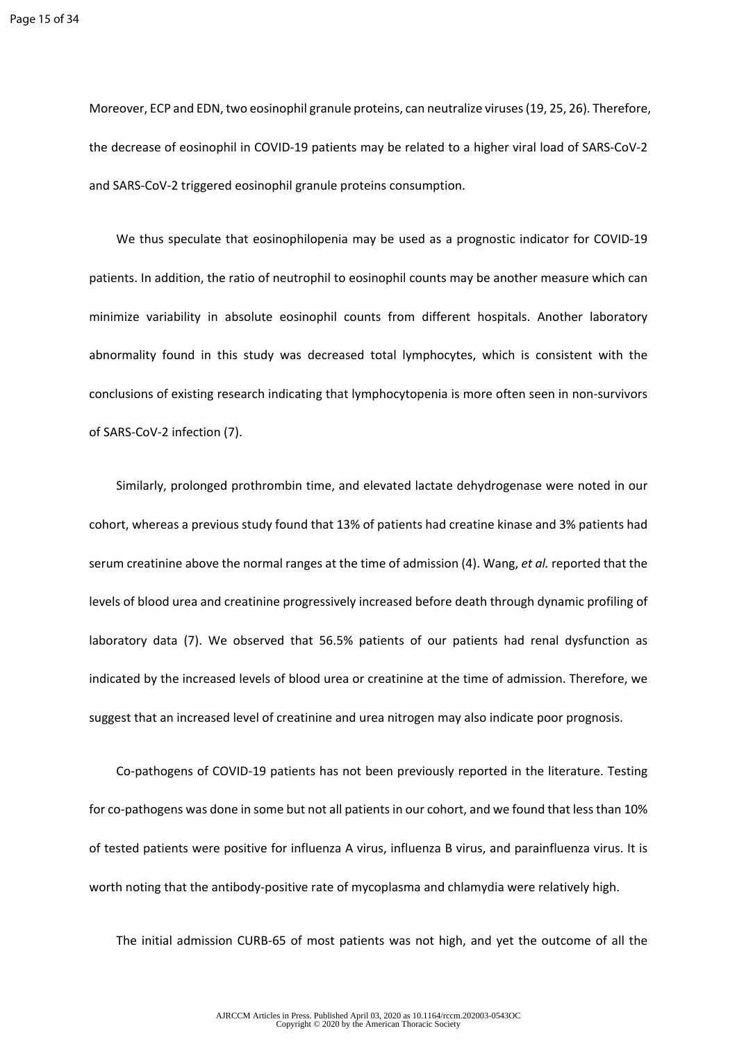Moreover, ECP and EDN, two eosinophil granule proteins, can neutralize viruses (19, 25, 26). Therefore, the decrease of eosinophil in COVID-19 patients may be related to a higher viral load of SARS-CoV-2 and SARS-CoV-2 triggered eosinophil granule proteins consumption.

We thus speculate that eosinophilopenia may be used as a prognostic indicator for COVID-19 patients. In addition, the ratio of neutrophil to eosinophil counts may be another measure which can minimize variability in absolute eosinophil counts from different hospitals. Another laboratory abnormality found in this study was decreased total lymphocytes, which is consistent with the conclusions of existing research indicating that lymphocytopenia is more often seen in non-survivors of SARS-CoV-2 infection (7).

Similarly, prolonged prothrombin time, and elevated lactate dehydrogenase were noted in our cohort, whereas a previous study found that 13% of patients had creatine kinase and 3% patients had serum creatinine above the normal ranges at the time of admission (4). Wang, *et al.* reported that the levels of blood urea and creatinine progressively increased before death through dynamic profiling of laboratory data (7). We observed that 56.5% patients of our patients had renal dysfunction as indicated by the increased levels of blood urea or creatinine at the time of admission. Therefore, we suggest that an increased level of creatinine and urea nitrogen may also indicate poor prognosis.

Co-pathogens of COVID-19 patients has not been previously reported in the literature. Testing for co-pathogens was done in some but not all patients in our cohort, and we found that less than 10% of tested patients were positive for influenza A virus, influenza B virus, and parainfluenza virus. It is worth noting that the antibody-positive rate of mycoplasma and chlamydia were relatively high.

The initial admission CURB-65 of most patients was not high, and yet the outcome of all the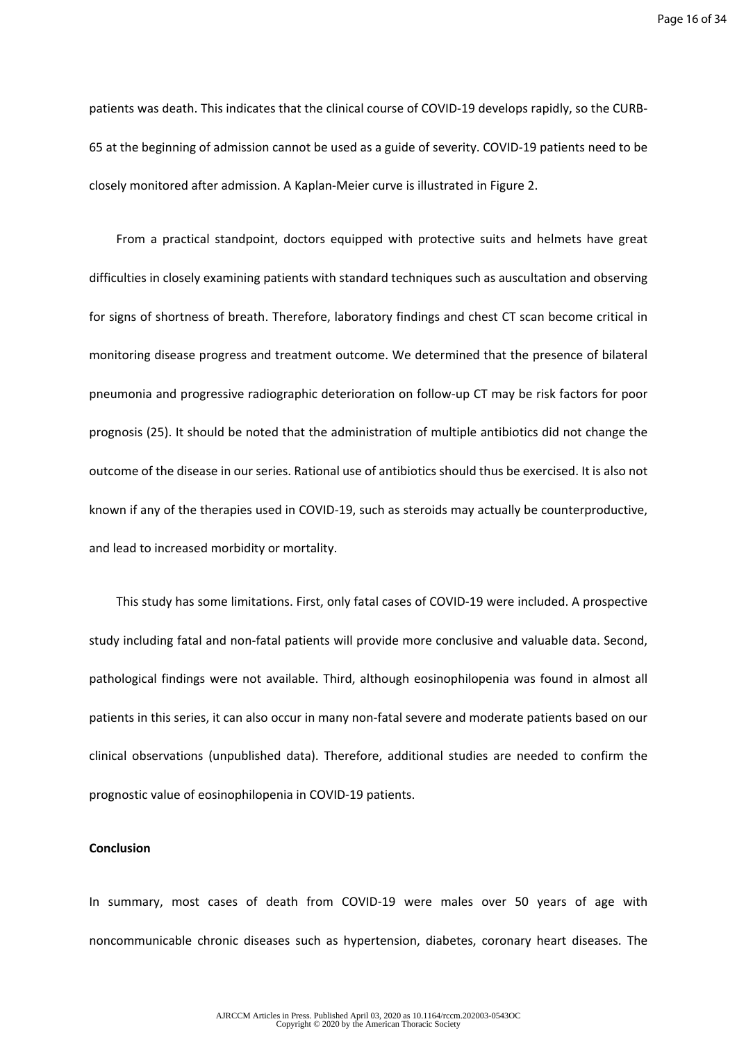Page 16 of 34

patients was death. This indicates that the clinical course of COVID-19 develops rapidly, so the CURB-65 at the beginning of admission cannot be used as a guide of severity. COVID-19 patients need to be closely monitored after admission. A Kaplan-Meier curve is illustrated in Figure 2.

From a practical standpoint, doctors equipped with protective suits and helmets have great difficulties in closely examining patients with standard techniques such as auscultation and observing for signs of shortness of breath. Therefore, laboratory findings and chest CT scan become critical in monitoring disease progress and treatment outcome. We determined that the presence of bilateral pneumonia and progressive radiographic deterioration on follow-up CT may be risk factors for poor prognosis (25). It should be noted that the administration of multiple antibiotics did not change the outcome of the disease in our series. Rational use of antibiotics should thus be exercised. It is also not known if any of the therapies used in COVID-19, such as steroids may actually be counterproductive, and lead to increased morbidity or mortality.

This study has some limitations. First, only fatal cases of COVID-19 were included. A prospective study including fatal and non-fatal patients will provide more conclusive and valuable data. Second, pathological findings were not available. Third, although eosinophilopenia was found in almost all patients in this series, it can also occur in many non-fatal severe and moderate patients based on our clinical observations (unpublished data). Therefore, additional studies are needed to confirm the prognostic value of eosinophilopenia in COVID-19 patients.

#### **Conclusion**

In summary, most cases of death from COVID-19 were males over 50 years of age with noncommunicable chronic diseases such as hypertension, diabetes, coronary heart diseases. The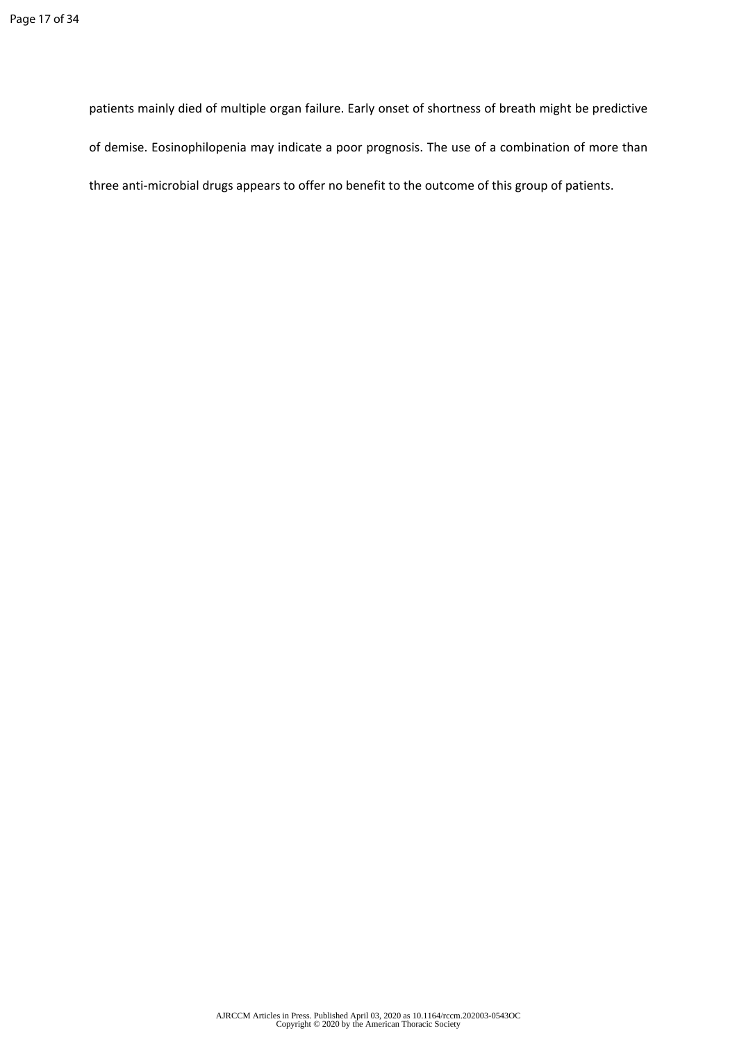patients mainly died of multiple organ failure. Early onset of shortness of breath might be predictive of demise. Eosinophilopenia may indicate a poor prognosis. The use of a combination of more than three anti-microbial drugs appears to offer no benefit to the outcome of this group of patients.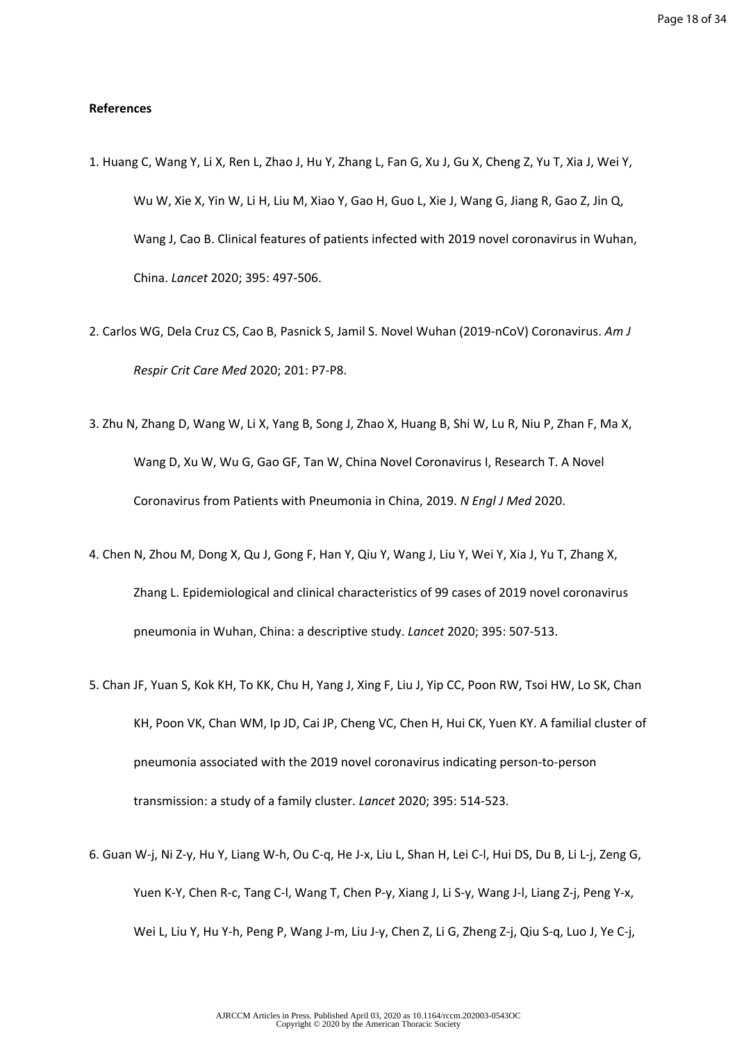### **References**

- 1. Huang C, Wang Y, Li X, Ren L, Zhao J, Hu Y, Zhang L, Fan G, Xu J, Gu X, Cheng Z, Yu T, Xia J, Wei Y, Wu W, Xie X, Yin W, Li H, Liu M, Xiao Y, Gao H, Guo L, Xie J, Wang G, Jiang R, Gao Z, Jin Q, Wang J, Cao B. Clinical features of patients infected with 2019 novel coronavirus in Wuhan, China. *Lancet* 2020; 395: 497-506.
- 2. Carlos WG, Dela Cruz CS, Cao B, Pasnick S, Jamil S. Novel Wuhan (2019-nCoV) Coronavirus. *Am J Respir Crit Care Med* 2020; 201: P7-P8.
- 3. Zhu N, Zhang D, Wang W, Li X, Yang B, Song J, Zhao X, Huang B, Shi W, Lu R, Niu P, Zhan F, Ma X, Wang D, Xu W, Wu G, Gao GF, Tan W, China Novel Coronavirus I, Research T. A Novel Coronavirus from Patients with Pneumonia in China, 2019. *N Engl J Med* 2020.
- 4. Chen N, Zhou M, Dong X, Qu J, Gong F, Han Y, Qiu Y, Wang J, Liu Y, Wei Y, Xia J, Yu T, Zhang X, Zhang L. Epidemiological and clinical characteristics of 99 cases of 2019 novel coronavirus pneumonia in Wuhan, China: a descriptive study. *Lancet* 2020; 395: 507-513.
- 5. Chan JF, Yuan S, Kok KH, To KK, Chu H, Yang J, Xing F, Liu J, Yip CC, Poon RW, Tsoi HW, Lo SK, Chan KH, Poon VK, Chan WM, Ip JD, Cai JP, Cheng VC, Chen H, Hui CK, Yuen KY. A familial cluster of pneumonia associated with the 2019 novel coronavirus indicating person-to-person transmission: a study of a family cluster. *Lancet* 2020; 395: 514-523.
- 6. Guan W-j, Ni Z-y, Hu Y, Liang W-h, Ou C-q, He J-x, Liu L, Shan H, Lei C-l, Hui DS, Du B, Li L-j, Zeng G, Yuen K-Y, Chen R-c, Tang C-l, Wang T, Chen P-y, Xiang J, Li S-y, Wang J-l, Liang Z-j, Peng Y-x, Wei L, Liu Y, Hu Y-h, Peng P, Wang J-m, Liu J-y, Chen Z, Li G, Zheng Z-j, Qiu S-q, Luo J, Ye C-j,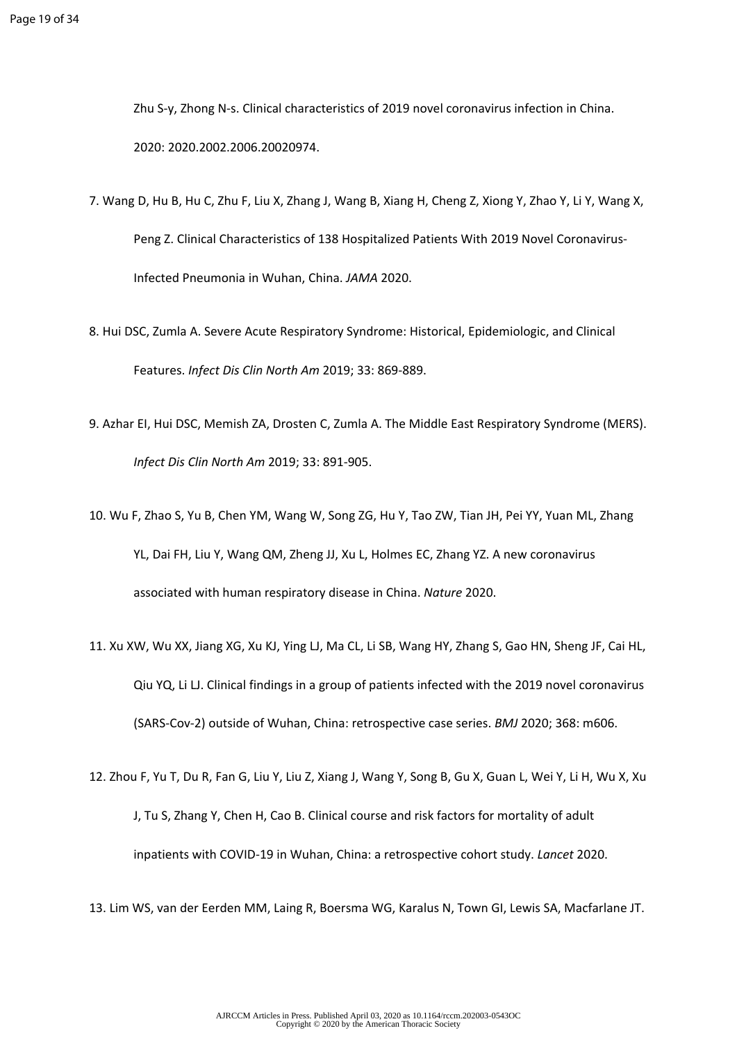Zhu S-y, Zhong N-s. Clinical characteristics of 2019 novel coronavirus infection in China. 2020: 2020.2002.2006.20020974.

- 7. Wang D, Hu B, Hu C, Zhu F, Liu X, Zhang J, Wang B, Xiang H, Cheng Z, Xiong Y, Zhao Y, Li Y, Wang X, Peng Z. Clinical Characteristics of 138 Hospitalized Patients With 2019 Novel Coronavirus-Infected Pneumonia in Wuhan, China. *JAMA* 2020.
- 8. Hui DSC, Zumla A. Severe Acute Respiratory Syndrome: Historical, Epidemiologic, and Clinical Features. *Infect Dis Clin North Am* 2019; 33: 869-889.
- 9. Azhar EI, Hui DSC, Memish ZA, Drosten C, Zumla A. The Middle East Respiratory Syndrome (MERS). *Infect Dis Clin North Am* 2019; 33: 891-905.
- 10. Wu F, Zhao S, Yu B, Chen YM, Wang W, Song ZG, Hu Y, Tao ZW, Tian JH, Pei YY, Yuan ML, Zhang YL, Dai FH, Liu Y, Wang QM, Zheng JJ, Xu L, Holmes EC, Zhang YZ. A new coronavirus associated with human respiratory disease in China. *Nature* 2020.
- 11. Xu XW, Wu XX, Jiang XG, Xu KJ, Ying LJ, Ma CL, Li SB, Wang HY, Zhang S, Gao HN, Sheng JF, Cai HL, Qiu YQ, Li LJ. Clinical findings in a group of patients infected with the 2019 novel coronavirus (SARS-Cov-2) outside of Wuhan, China: retrospective case series. *BMJ* 2020; 368: m606.
- 12. Zhou F, Yu T, Du R, Fan G, Liu Y, Liu Z, Xiang J, Wang Y, Song B, Gu X, Guan L, Wei Y, Li H, Wu X, Xu J, Tu S, Zhang Y, Chen H, Cao B. Clinical course and risk factors for mortality of adult inpatients with COVID-19 in Wuhan, China: a retrospective cohort study. *Lancet* 2020.
- 13. Lim WS, van der Eerden MM, Laing R, Boersma WG, Karalus N, Town GI, Lewis SA, Macfarlane JT.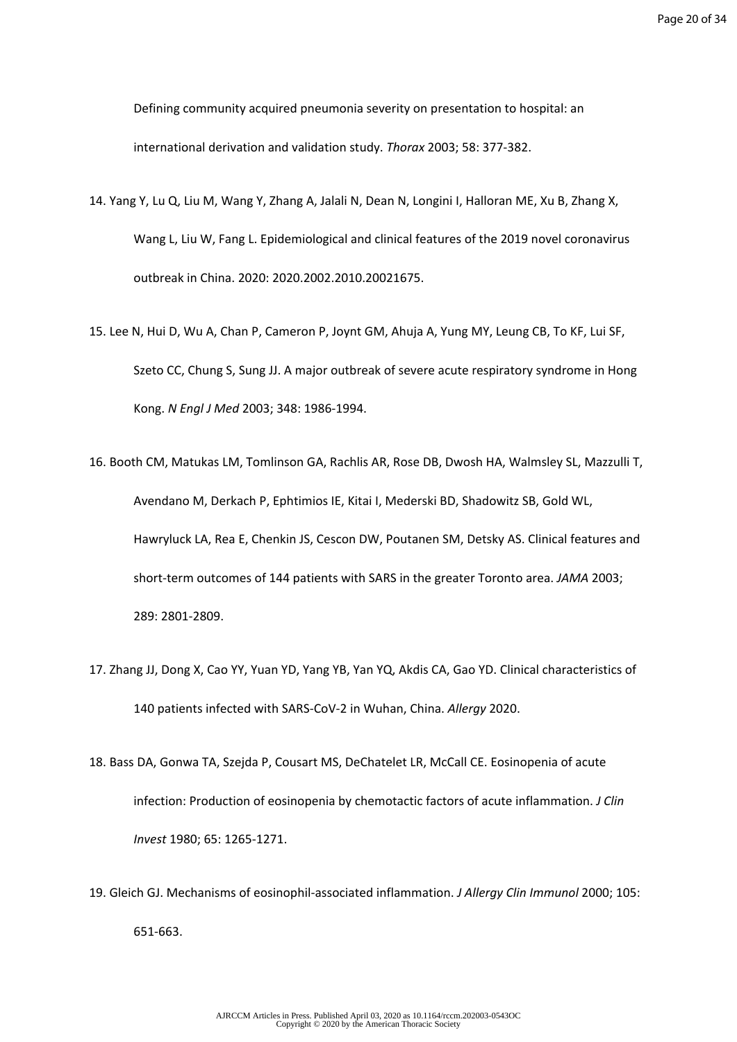Defining community acquired pneumonia severity on presentation to hospital: an international derivation and validation study. *Thorax* 2003; 58: 377-382.

- 14. Yang Y, Lu Q, Liu M, Wang Y, Zhang A, Jalali N, Dean N, Longini I, Halloran ME, Xu B, Zhang X, Wang L, Liu W, Fang L. Epidemiological and clinical features of the 2019 novel coronavirus outbreak in China. 2020: 2020.2002.2010.20021675.
- 15. Lee N, Hui D, Wu A, Chan P, Cameron P, Joynt GM, Ahuja A, Yung MY, Leung CB, To KF, Lui SF, Szeto CC, Chung S, Sung JJ. A major outbreak of severe acute respiratory syndrome in Hong Kong. *N Engl J Med* 2003; 348: 1986-1994.
- 16. Booth CM, Matukas LM, Tomlinson GA, Rachlis AR, Rose DB, Dwosh HA, Walmsley SL, Mazzulli T, Avendano M, Derkach P, Ephtimios IE, Kitai I, Mederski BD, Shadowitz SB, Gold WL, Hawryluck LA, Rea E, Chenkin JS, Cescon DW, Poutanen SM, Detsky AS. Clinical features and short-term outcomes of 144 patients with SARS in the greater Toronto area. *JAMA* 2003; 289: 2801-2809.
- 17. Zhang JJ, Dong X, Cao YY, Yuan YD, Yang YB, Yan YQ, Akdis CA, Gao YD. Clinical characteristics of 140 patients infected with SARS-CoV-2 in Wuhan, China. *Allergy* 2020.
- 18. Bass DA, Gonwa TA, Szejda P, Cousart MS, DeChatelet LR, McCall CE. Eosinopenia of acute infection: Production of eosinopenia by chemotactic factors of acute inflammation. *J Clin Invest* 1980; 65: 1265-1271.
- 19. Gleich GJ. Mechanisms of eosinophil-associated inflammation. *J Allergy Clin Immunol* 2000; 105: 651-663.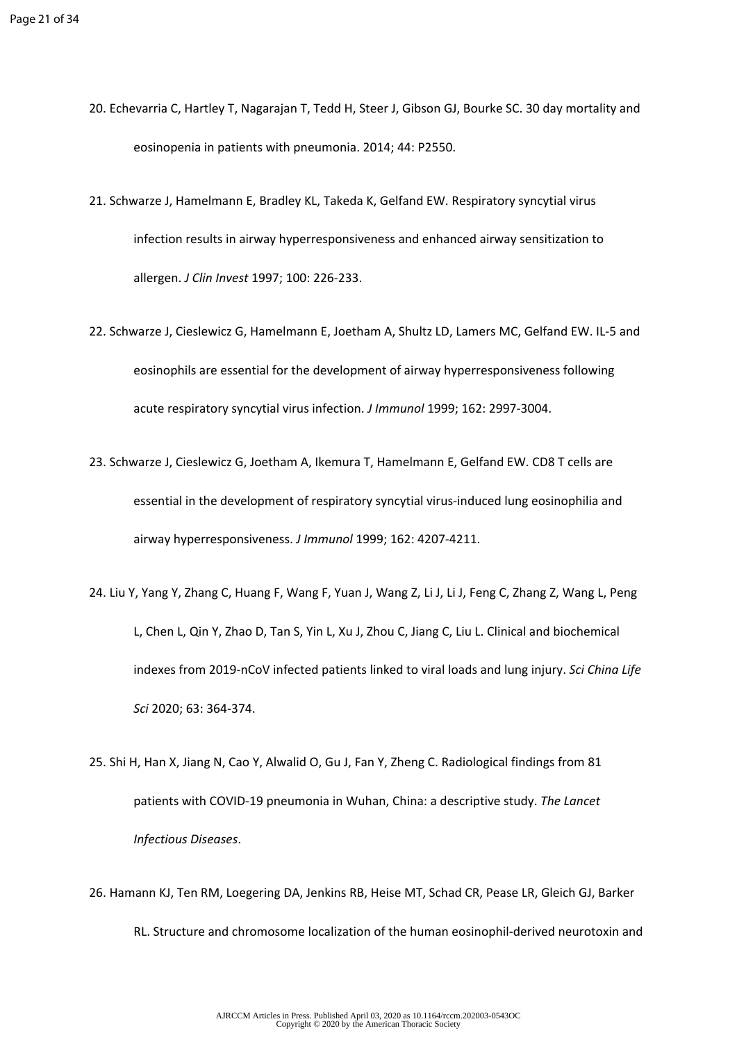- 20. Echevarria C, Hartley T, Nagarajan T, Tedd H, Steer J, Gibson GJ, Bourke SC. 30 day mortality and eosinopenia in patients with pneumonia. 2014; 44: P2550.
- 21. Schwarze J, Hamelmann E, Bradley KL, Takeda K, Gelfand EW. Respiratory syncytial virus infection results in airway hyperresponsiveness and enhanced airway sensitization to allergen. *J Clin Invest* 1997; 100: 226-233.
- 22. Schwarze J, Cieslewicz G, Hamelmann E, Joetham A, Shultz LD, Lamers MC, Gelfand EW. IL-5 and eosinophils are essential for the development of airway hyperresponsiveness following acute respiratory syncytial virus infection. *J Immunol* 1999; 162: 2997-3004.
- 23. Schwarze J, Cieslewicz G, Joetham A, Ikemura T, Hamelmann E, Gelfand EW. CD8 T cells are essential in the development of respiratory syncytial virus-induced lung eosinophilia and airway hyperresponsiveness. *J Immunol* 1999; 162: 4207-4211.
- 24. Liu Y, Yang Y, Zhang C, Huang F, Wang F, Yuan J, Wang Z, Li J, Li J, Feng C, Zhang Z, Wang L, Peng L, Chen L, Qin Y, Zhao D, Tan S, Yin L, Xu J, Zhou C, Jiang C, Liu L. Clinical and biochemical indexes from 2019-nCoV infected patients linked to viral loads and lung injury. *Sci China Life Sci* 2020; 63: 364-374.
- 25. Shi H, Han X, Jiang N, Cao Y, Alwalid O, Gu J, Fan Y, Zheng C. Radiological findings from 81 patients with COVID-19 pneumonia in Wuhan, China: a descriptive study. *The Lancet Infectious Diseases*.
- 26. Hamann KJ, Ten RM, Loegering DA, Jenkins RB, Heise MT, Schad CR, Pease LR, Gleich GJ, Barker RL. Structure and chromosome localization of the human eosinophil-derived neurotoxin and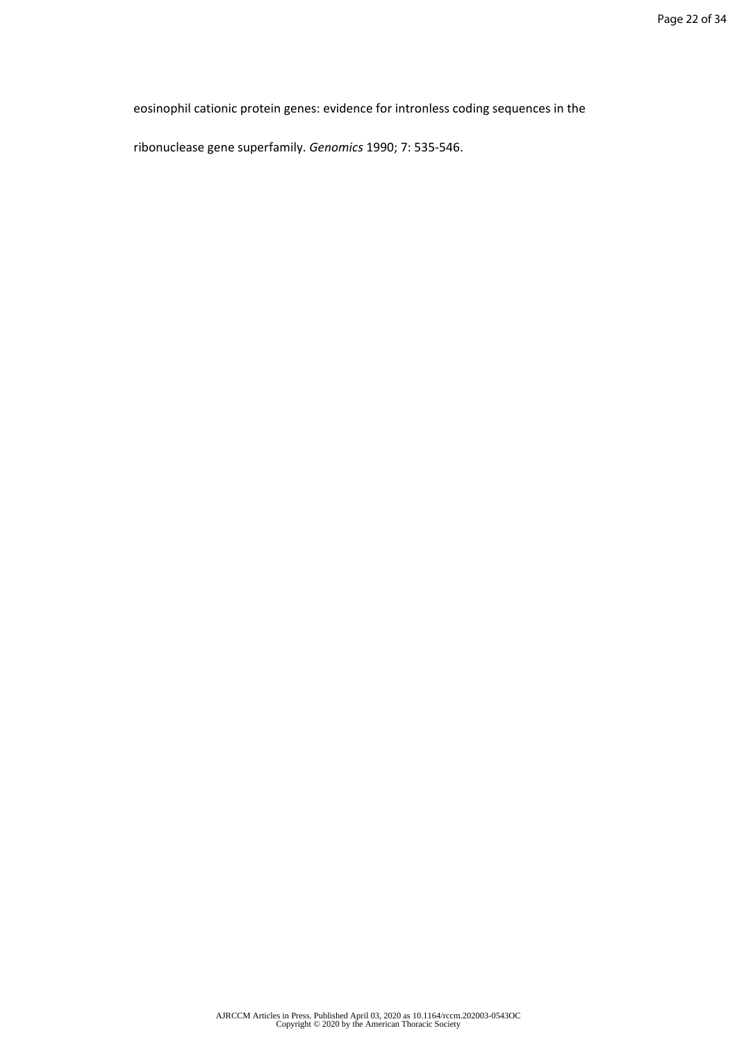eosinophil cationic protein genes: evidence for intronless coding sequences in the

ribonuclease gene superfamily. *Genomics* 1990; 7: 535-546.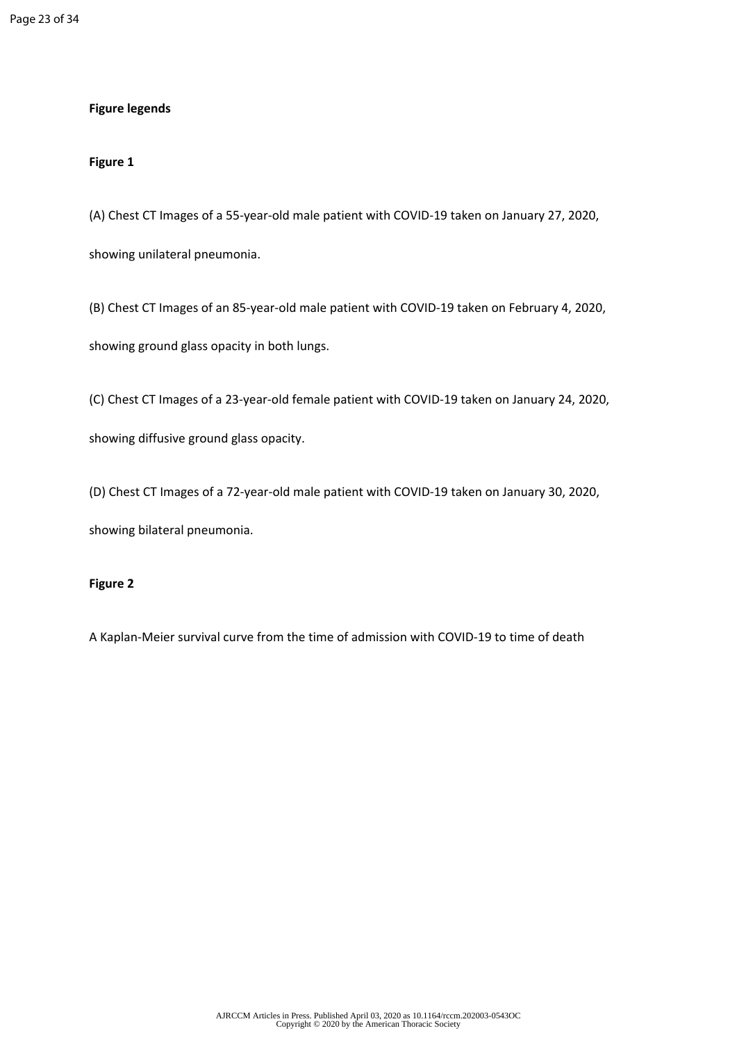## **Figure legends**

## **Figure 1**

(A) Chest CT Images of a 55-year-old male patient with COVID-19 taken on January 27, 2020,

showing unilateral pneumonia.

(B) Chest CT Images of an 85-year-old male patient with COVID-19 taken on February 4, 2020, showing ground glass opacity in both lungs.

(C) Chest CT Images of a 23-year-old female patient with COVID-19 taken on January 24, 2020,

showing diffusive ground glass opacity.

(D) Chest CT Images of a 72-year-old male patient with COVID-19 taken on January 30, 2020, showing bilateral pneumonia.

## **Figure 2**

A Kaplan-Meier survival curve from the time of admission with COVID-19 to time of death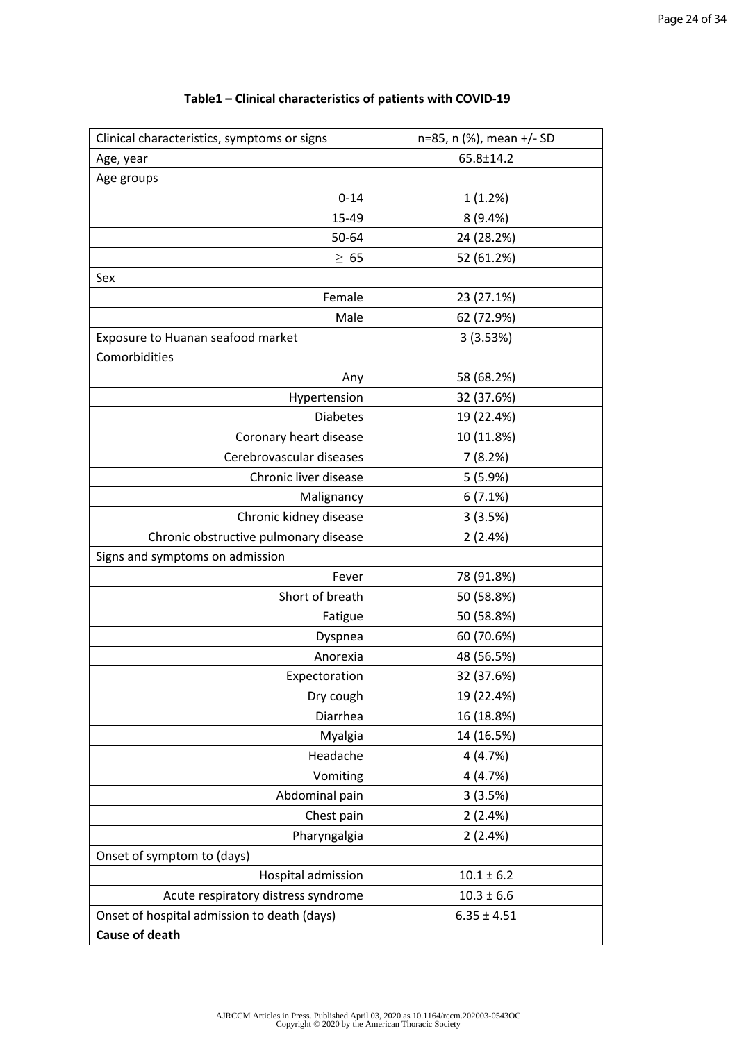| Clinical characteristics, symptoms or signs | n=85, n (%), mean +/- SD |  |
|---------------------------------------------|--------------------------|--|
| Age, year                                   | 65.8±14.2                |  |
| Age groups                                  |                          |  |
| $0 - 14$                                    | 1(1.2%)                  |  |
| 15-49                                       | 8(9.4%)                  |  |
| 50-64                                       | 24 (28.2%)               |  |
| $\geq 65$                                   | 52 (61.2%)               |  |
| Sex                                         |                          |  |
| Female                                      | 23 (27.1%)               |  |
| Male                                        | 62 (72.9%)               |  |
| Exposure to Huanan seafood market           | 3(3.53%)                 |  |
| Comorbidities                               |                          |  |
| Any                                         | 58 (68.2%)               |  |
| Hypertension                                | 32 (37.6%)               |  |
| <b>Diabetes</b>                             | 19 (22.4%)               |  |
| Coronary heart disease                      | 10 (11.8%)               |  |
| Cerebrovascular diseases                    | 7(8.2%)                  |  |
| Chronic liver disease                       | 5(5.9%)                  |  |
| Malignancy                                  | 6(7.1%)                  |  |
| Chronic kidney disease                      | 3(3.5%)                  |  |
| Chronic obstructive pulmonary disease       | 2(2.4%)                  |  |
| Signs and symptoms on admission             |                          |  |
| Fever                                       | 78 (91.8%)               |  |
| Short of breath                             | 50 (58.8%)               |  |
| Fatigue                                     | 50 (58.8%)               |  |
| Dyspnea                                     | 60 (70.6%)               |  |
| Anorexia                                    | 48 (56.5%)               |  |
| Expectoration                               | 32 (37.6%)               |  |
| Dry cough                                   | 19 (22.4%)               |  |
| Diarrhea                                    | 16 (18.8%)               |  |
| Myalgia                                     | 14 (16.5%)               |  |
| Headache                                    | 4(4.7%)                  |  |
| Vomiting                                    | 4(4.7%)                  |  |
| Abdominal pain                              | 3(3.5%)                  |  |
| Chest pain                                  | 2(2.4%)                  |  |
| Pharyngalgia                                | 2(2.4%)                  |  |
| Onset of symptom to (days)                  |                          |  |
| Hospital admission                          | $10.1 \pm 6.2$           |  |
| Acute respiratory distress syndrome         | $10.3 \pm 6.6$           |  |
| Onset of hospital admission to death (days) | $6.35 \pm 4.51$          |  |
| <b>Cause of death</b>                       |                          |  |

## **Table1 – Clinical characteristics of patients with COVID-19**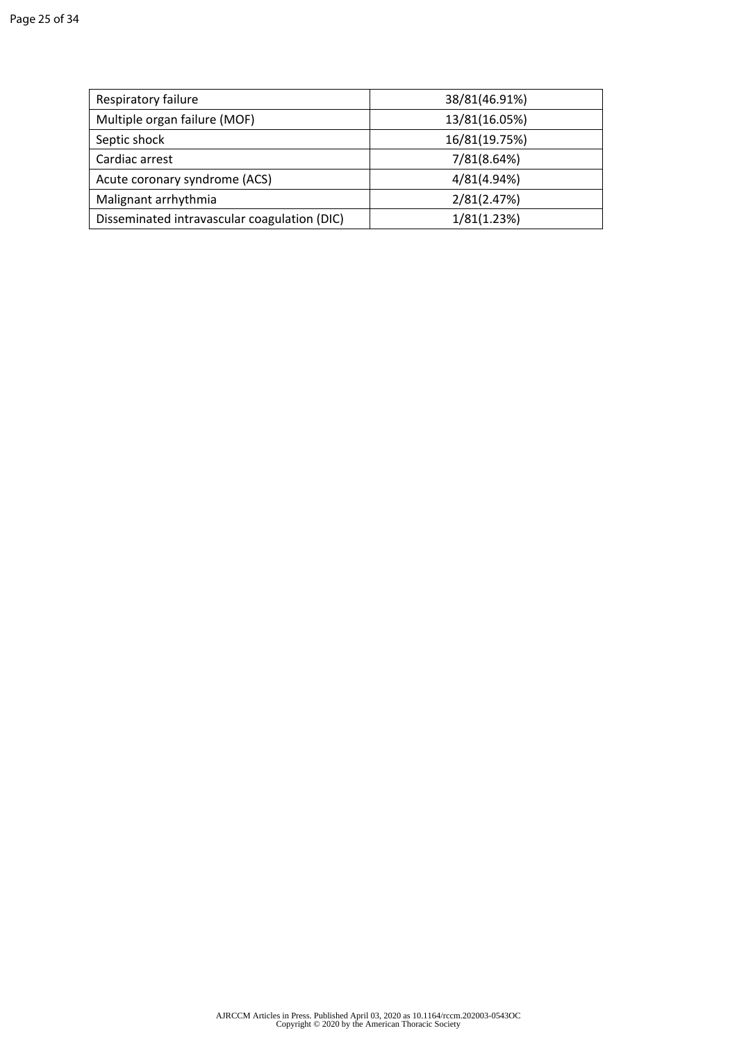| Respiratory failure                          | 38/81(46.91%) |
|----------------------------------------------|---------------|
| Multiple organ failure (MOF)                 | 13/81(16.05%) |
| Septic shock                                 | 16/81(19.75%) |
| Cardiac arrest                               | 7/81(8.64%)   |
| Acute coronary syndrome (ACS)                | 4/81(4.94%)   |
| Malignant arrhythmia                         | 2/81(2.47%)   |
| Disseminated intravascular coagulation (DIC) | 1/81(1.23%)   |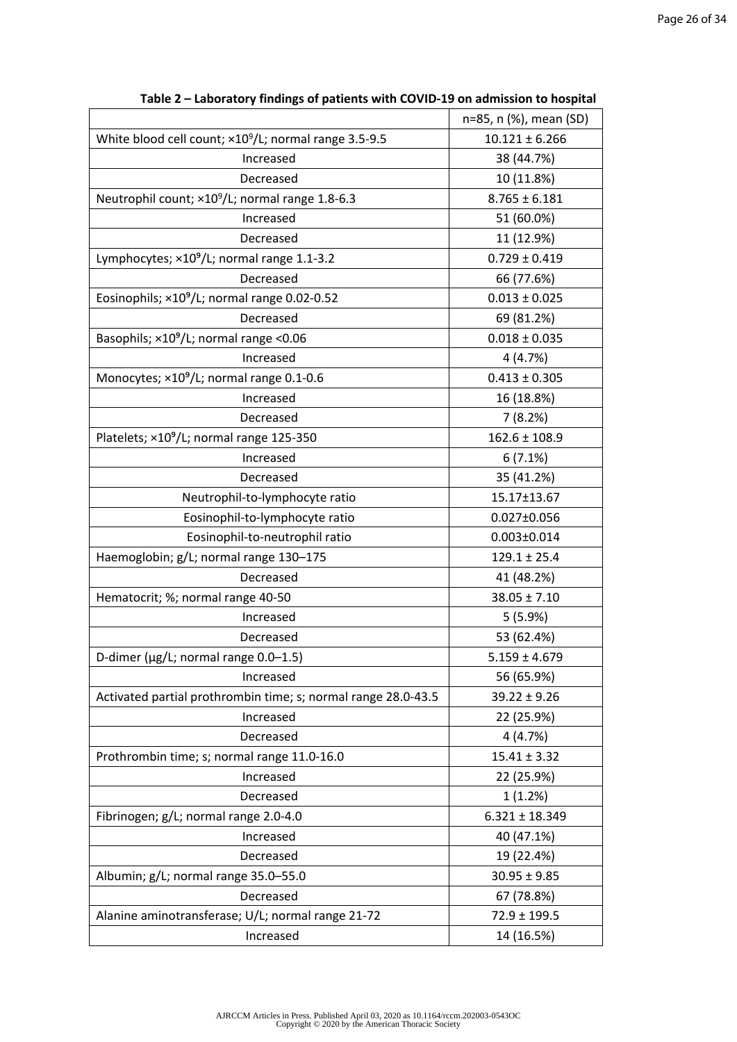|                                                                   | n=85, n (%), mean (SD) |
|-------------------------------------------------------------------|------------------------|
| White blood cell count; ×10 <sup>9</sup> /L; normal range 3.5-9.5 | $10.121 \pm 6.266$     |
| Increased                                                         | 38 (44.7%)             |
| Decreased                                                         | 10 (11.8%)             |
| Neutrophil count; ×10 <sup>9</sup> /L; normal range 1.8-6.3       | $8.765 \pm 6.181$      |
| Increased                                                         | 51 (60.0%)             |
| Decreased                                                         | 11 (12.9%)             |
| Lymphocytes; ×10 <sup>9</sup> /L; normal range 1.1-3.2            | $0.729 \pm 0.419$      |
| Decreased                                                         | 66 (77.6%)             |
| Eosinophils; ×10 <sup>9</sup> /L; normal range 0.02-0.52          | $0.013 \pm 0.025$      |
| Decreased                                                         | 69 (81.2%)             |
| Basophils; ×10 <sup>9</sup> /L; normal range <0.06                | $0.018 \pm 0.035$      |
| Increased                                                         | 4(4.7%)                |
| Monocytes; ×10 <sup>9</sup> /L; normal range 0.1-0.6              | $0.413 \pm 0.305$      |
| Increased                                                         | 16 (18.8%)             |
| Decreased                                                         | 7(8.2%)                |
| Platelets; ×10 <sup>9</sup> /L; normal range 125-350              | $162.6 \pm 108.9$      |
| Increased                                                         | 6(7.1%)                |
| Decreased                                                         | 35 (41.2%)             |
| Neutrophil-to-lymphocyte ratio                                    | 15.17±13.67            |
| Eosinophil-to-lymphocyte ratio                                    | $0.027 \pm 0.056$      |
| Eosinophil-to-neutrophil ratio                                    | $0.003 \pm 0.014$      |
| Haemoglobin; g/L; normal range 130-175                            | $129.1 \pm 25.4$       |
| Decreased                                                         | 41 (48.2%)             |
| Hematocrit; %; normal range 40-50                                 | $38.05 \pm 7.10$       |
| Increased                                                         | 5(5.9%)                |
|                                                                   |                        |
| Decreased                                                         | 53 (62.4%)             |
| D-dimer (µg/L; normal range 0.0-1.5)                              | $5.159 \pm 4.679$      |
| Increased                                                         | 56 (65.9%)             |
| Activated partial prothrombin time; s; normal range 28.0-43.5     | $39.22 \pm 9.26$       |
| Increased                                                         | 22 (25.9%)             |
| Decreased                                                         | 4(4.7%)                |
| Prothrombin time; s; normal range 11.0-16.0                       | $15.41 \pm 3.32$       |
| Increased                                                         | 22 (25.9%)             |
| Decreased                                                         | 1(1.2%)                |
| Fibrinogen; g/L; normal range 2.0-4.0                             | $6.321 \pm 18.349$     |
| Increased                                                         | 40 (47.1%)             |
| Decreased                                                         | 19 (22.4%)             |
| Albumin; g/L; normal range 35.0-55.0                              | $30.95 \pm 9.85$       |
| Decreased                                                         | 67 (78.8%)             |
| Alanine aminotransferase; U/L; normal range 21-72                 | $72.9 \pm 199.5$       |
| Increased                                                         | 14 (16.5%)             |

**Table 2 – Laboratory findings of patients with COVID-19 on admission to hospital**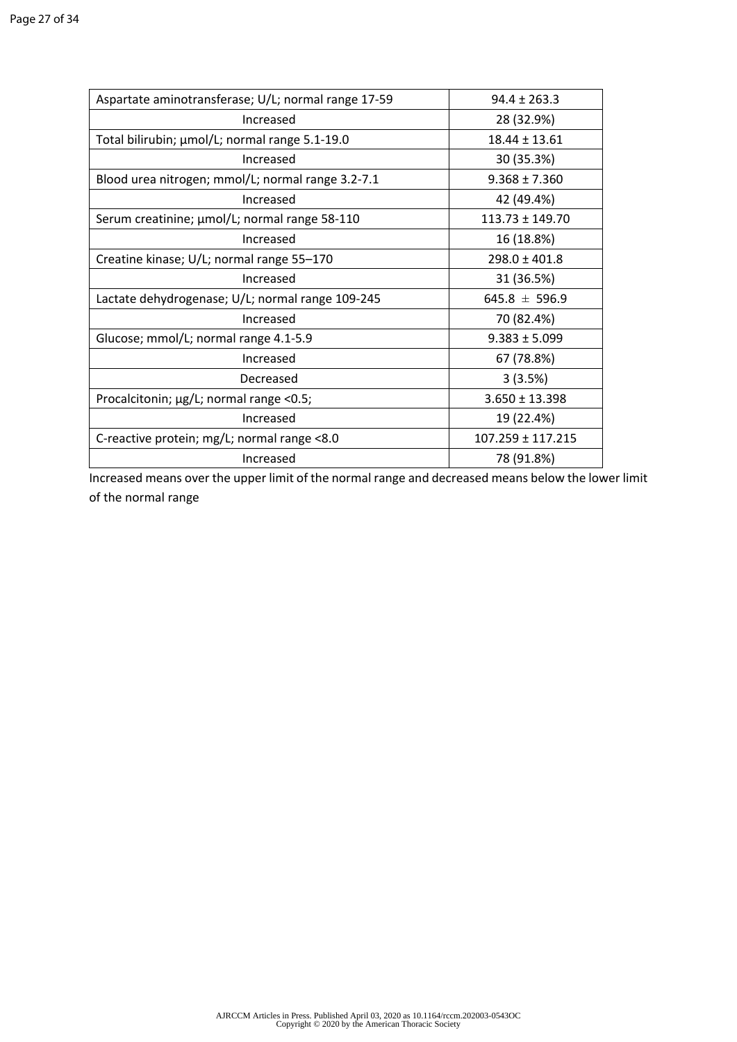| Aspartate aminotransferase; U/L; normal range 17-59 | $94.4 \pm 263.3$      |
|-----------------------------------------------------|-----------------------|
| Increased                                           | 28 (32.9%)            |
| Total bilirubin; µmol/L; normal range 5.1-19.0      | $18.44 \pm 13.61$     |
| Increased                                           | 30 (35.3%)            |
| Blood urea nitrogen; mmol/L; normal range 3.2-7.1   | $9.368 \pm 7.360$     |
| Increased                                           | 42 (49.4%)            |
| Serum creatinine; µmol/L; normal range 58-110       | $113.73 \pm 149.70$   |
| Increased                                           | 16 (18.8%)            |
| Creatine kinase; U/L; normal range 55-170           | $298.0 \pm 401.8$     |
| Increased                                           | 31 (36.5%)            |
| Lactate dehydrogenase; U/L; normal range 109-245    | $645.8 \pm 596.9$     |
| Increased                                           | 70 (82.4%)            |
| Glucose; mmol/L; normal range 4.1-5.9               | $9.383 \pm 5.099$     |
| Increased                                           | 67 (78.8%)            |
| Decreased                                           | 3(3.5%)               |
| Procalcitonin; µg/L; normal range <0.5;             | $3.650 \pm 13.398$    |
| Increased                                           | 19 (22.4%)            |
| C-reactive protein; mg/L; normal range <8.0         | $107.259 \pm 117.215$ |
| Increased                                           | 78 (91.8%)            |

Increased means over the upper limit of the normal range and decreased means below the lower limit of the normal range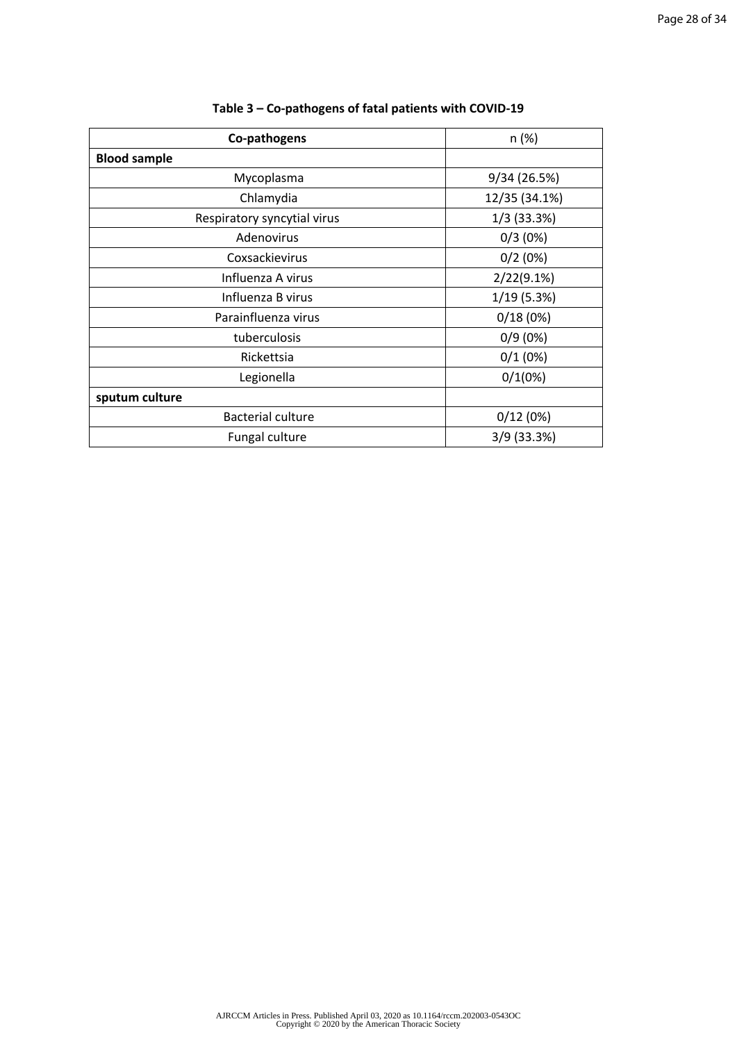| Co-pathogens                | n (%)         |
|-----------------------------|---------------|
| <b>Blood sample</b>         |               |
| Mycoplasma                  | 9/34 (26.5%)  |
| Chlamydia                   | 12/35 (34.1%) |
| Respiratory syncytial virus | $1/3$ (33.3%) |
| Adenovirus                  | 0/3(0%)       |
| Coxsackievirus              | 0/2(0%)       |
| Influenza A virus           | $2/22(9.1\%)$ |
| Influenza B virus           | 1/19(5.3%)    |
| Parainfluenza virus         | 0/18(0%)      |
| tuberculosis                | 0/9(0%)       |
| Rickettsia                  | 0/1(0%)       |
| Legionella                  | 0/1(0%)       |
| sputum culture              |               |
| <b>Bacterial culture</b>    | 0/12(0%)      |
| Fungal culture              | 3/9 (33.3%)   |

# **Table 3 – Co-pathogens of fatal patients with COVID-19**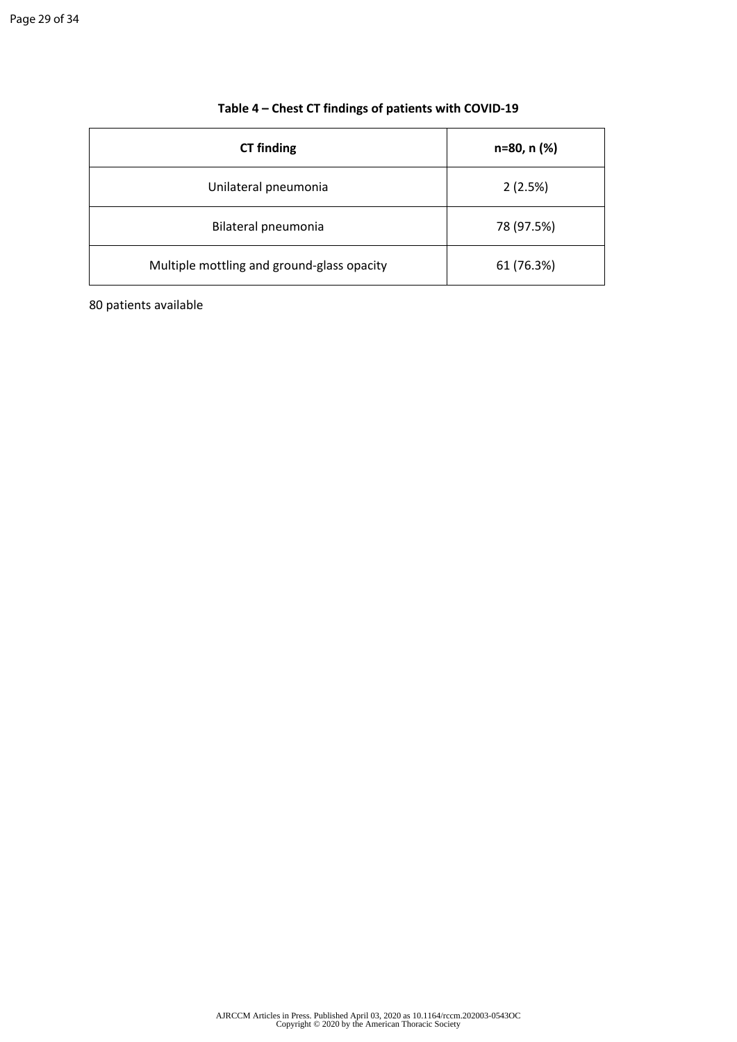| <b>CT</b> finding                          | n=80, n (%) |
|--------------------------------------------|-------------|
| Unilateral pneumonia                       | 2(2.5%)     |
| Bilateral pneumonia                        | 78 (97.5%)  |
| Multiple mottling and ground-glass opacity | 61 (76.3%)  |

# **Table 4 – Chest CT findings of patients with COVID-19**

80 patients available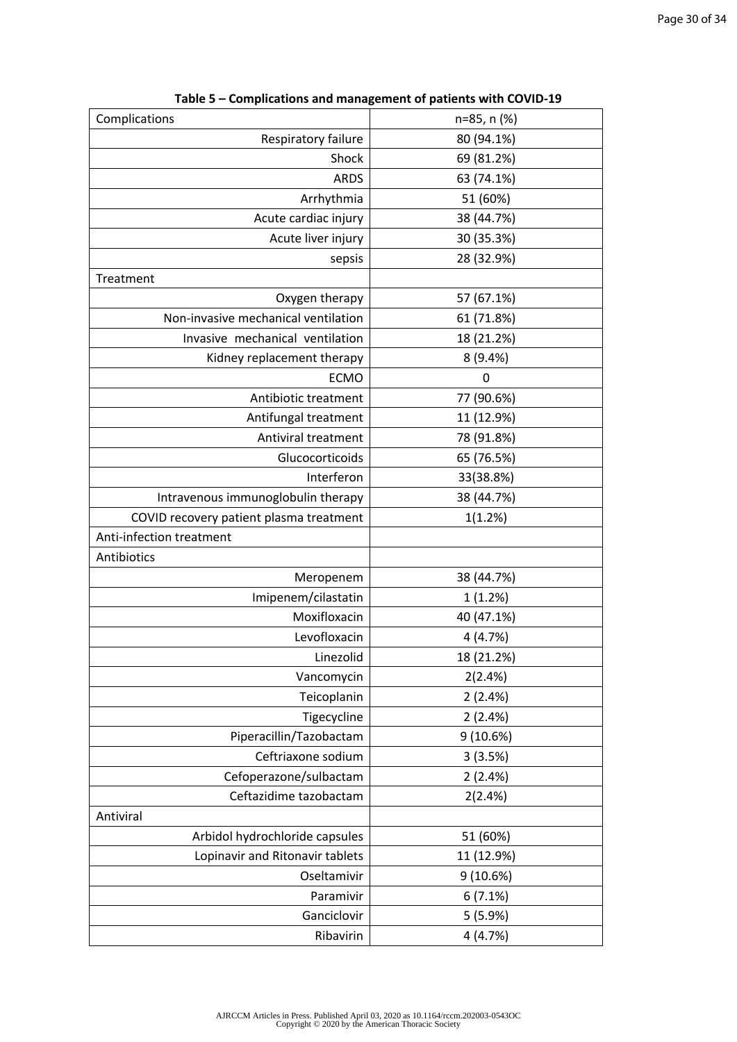| Complications                           | n=85, n (%) |  |
|-----------------------------------------|-------------|--|
| Respiratory failure                     | 80 (94.1%)  |  |
| Shock                                   | 69 (81.2%)  |  |
| <b>ARDS</b>                             | 63 (74.1%)  |  |
| Arrhythmia                              | 51 (60%)    |  |
| Acute cardiac injury                    | 38 (44.7%)  |  |
| Acute liver injury                      | 30 (35.3%)  |  |
| sepsis                                  | 28 (32.9%)  |  |
| Treatment                               |             |  |
| Oxygen therapy                          | 57 (67.1%)  |  |
| Non-invasive mechanical ventilation     | 61 (71.8%)  |  |
| Invasive mechanical ventilation         | 18 (21.2%)  |  |
| Kidney replacement therapy              | 8 (9.4%)    |  |
| <b>ECMO</b>                             | 0           |  |
| Antibiotic treatment                    | 77 (90.6%)  |  |
| Antifungal treatment                    | 11 (12.9%)  |  |
| Antiviral treatment                     | 78 (91.8%)  |  |
| Glucocorticoids                         | 65 (76.5%)  |  |
| Interferon                              | 33(38.8%)   |  |
| Intravenous immunoglobulin therapy      | 38 (44.7%)  |  |
| COVID recovery patient plasma treatment | 1(1.2%)     |  |
| Anti-infection treatment                |             |  |
| Antibiotics                             |             |  |
| Meropenem                               | 38 (44.7%)  |  |
| Imipenem/cilastatin                     | 1(1.2%)     |  |
| Moxifloxacin                            | 40 (47.1%)  |  |
| Levofloxacin                            | 4(4.7%)     |  |
| Linezolid                               | 18 (21.2%)  |  |
| Vancomycin                              | 2(2.4%)     |  |
| Teicoplanin                             | 2(2.4%)     |  |
| Tigecycline                             | 2(2.4%)     |  |
| Piperacillin/Tazobactam                 | 9(10.6%)    |  |
| Ceftriaxone sodium                      | 3(3.5%)     |  |
| Cefoperazone/sulbactam                  | 2(2.4%)     |  |
| Ceftazidime tazobactam                  | 2(2.4%)     |  |
| Antiviral                               |             |  |
| Arbidol hydrochloride capsules          | 51 (60%)    |  |
| Lopinavir and Ritonavir tablets         | 11 (12.9%)  |  |
| Oseltamivir                             | 9(10.6%)    |  |
| Paramivir                               | 6(7.1%)     |  |
| Ganciclovir                             | 5(5.9%)     |  |
|                                         |             |  |

**Table 5 – Complications and management of patients with COVID-19**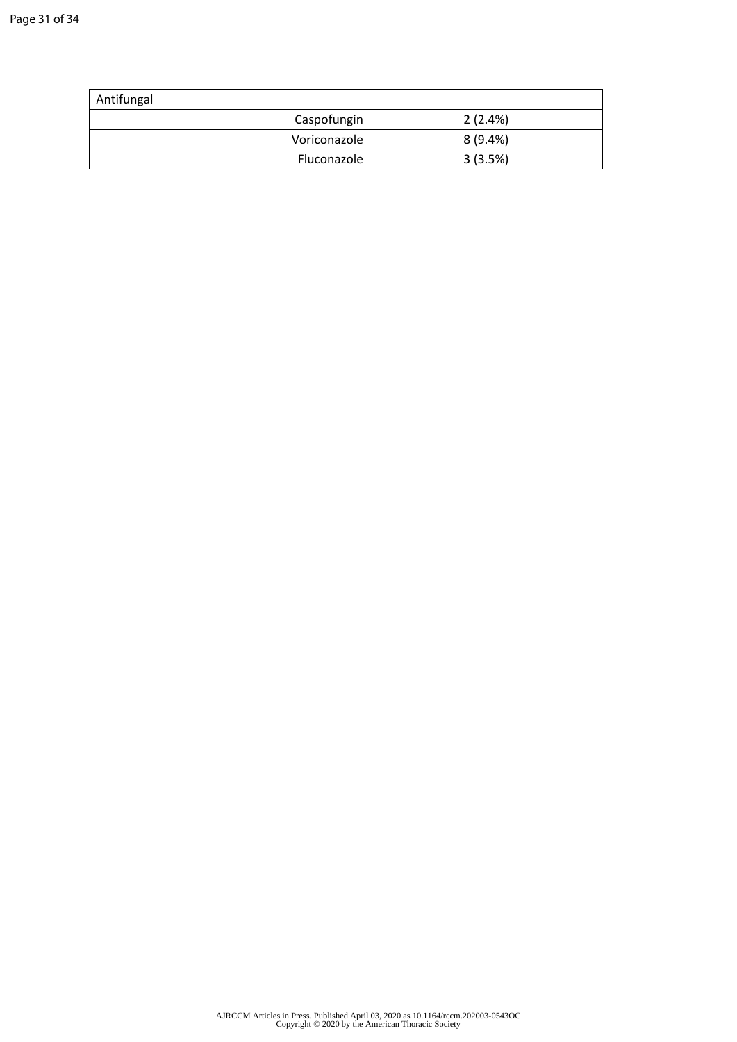| Antifungal   |            |
|--------------|------------|
| Caspofungin  | 2(2.4%)    |
| Voriconazole | $8(9.4\%)$ |
| Fluconazole  | 3(3.5%)    |
|              |            |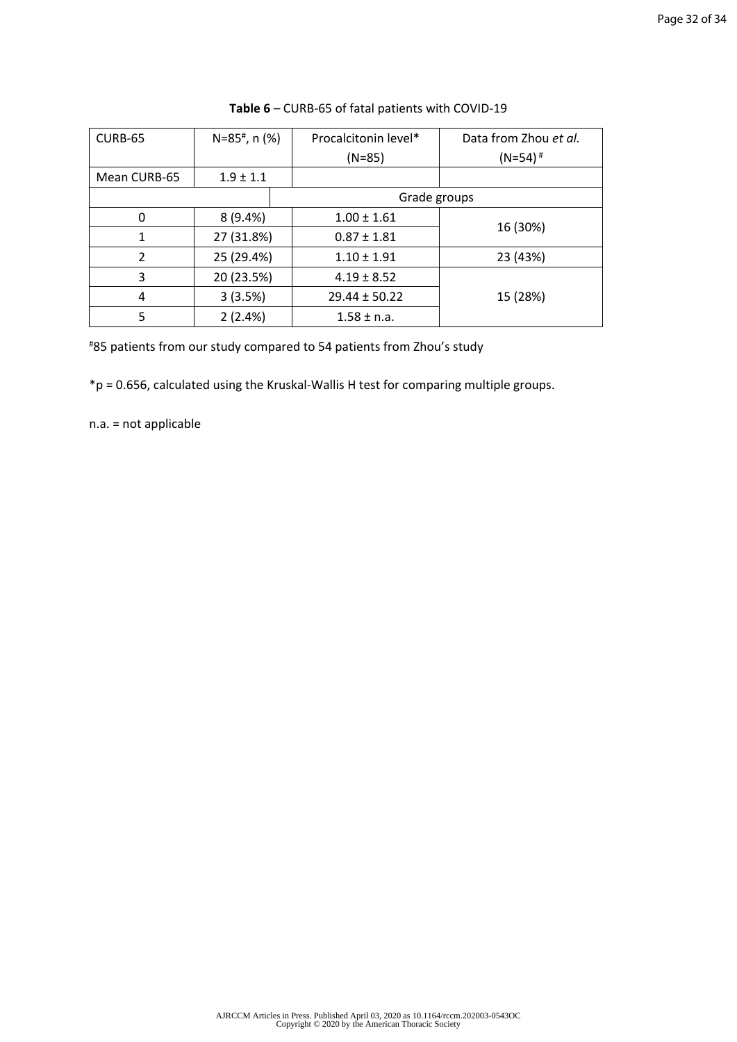| CURB-65        | $N=85^{\#}$ , n (%) | Procalcitonin level* | Data from Zhou et al. |
|----------------|---------------------|----------------------|-----------------------|
|                |                     | $(N=85)$             | $(N=54)$ <sup>#</sup> |
| Mean CURB-65   | $1.9 \pm 1.1$       |                      |                       |
| Grade groups   |                     |                      |                       |
| $\Omega$       | 8(9.4%)             | $1.00 \pm 1.61$      |                       |
| 1              | 27 (31.8%)          | $0.87 \pm 1.81$      | 16 (30%)              |
| $\overline{2}$ | 25 (29.4%)          | $1.10 \pm 1.91$      | 23 (43%)              |
| 3              | 20 (23.5%)          | $4.19 \pm 8.52$      |                       |
| 4              | 3(3.5%)             | $29.44 \pm 50.22$    | 15 (28%)              |
| 5              | 2(2.4%)             | $1.58 \pm n.a.$      |                       |

**Table 6** – CURB-65 of fatal patients with COVID-19

#85 patients from our study compared to 54 patients from Zhou's study

\*p = 0.656, calculated using the Kruskal-Wallis H test for comparing multiple groups.

n.a. = not applicable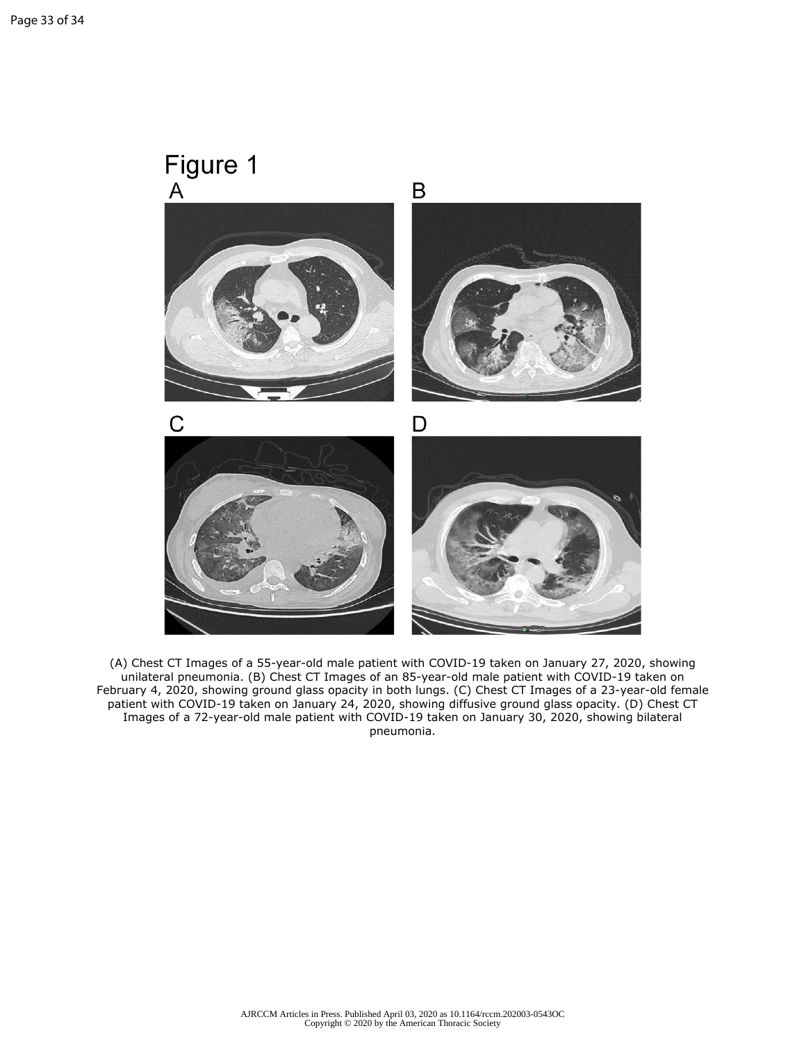

(A) Chest CT Images of a 55-year-old male patient with COVID-19 taken on January 27, 2020, showing unilateral pneumonia. (B) Chest CT Images of an 85-year-old male patient with COVID-19 taken on February 4, 2020, showing ground glass opacity in both lungs. (C) Chest CT Images of a 23-year-old female patient with COVID-19 taken on January 24, 2020, showing diffusive ground glass opacity. (D) Chest CT Images of a 72-year-old male patient with COVID-19 taken on January 30, 2020, showing bilateral pneumonia.